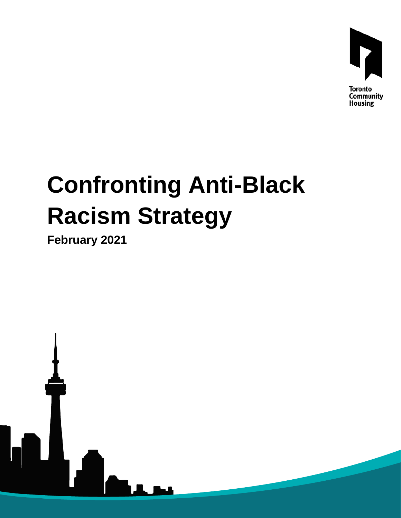

## **Confronting Anti-Black Racism Strategy**

**February 2021**

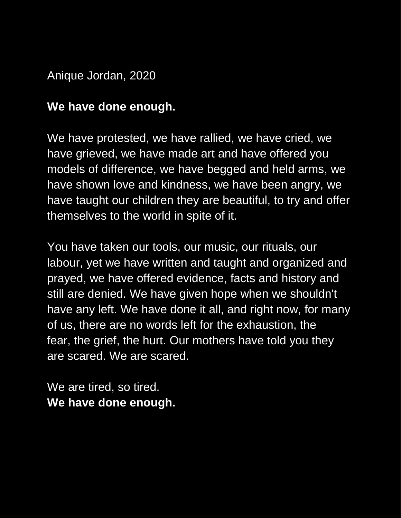Anique Jordan, 2020

## **We have done enough.**

We have protested, we have rallied, we have cried, we have grieved, we have made art and have offered you models of difference, we have begged and held arms, we have shown love and kindness, we have been angry, we have taught our children they are beautiful, to try and offer themselves to the world in spite of it.

You have taken our tools, our music, our rituals, our labour, yet we have written and taught and organized and prayed, we have offered evidence, facts and history and still are denied. We have given hope when we shouldn't have any left. We have done it all, and right now, for many of us, there are no words left for the exhaustion, the fear, the grief, the hurt. Our mothers have told you they are scared. We are scared.

We are tired, so tired. **We have done enough.**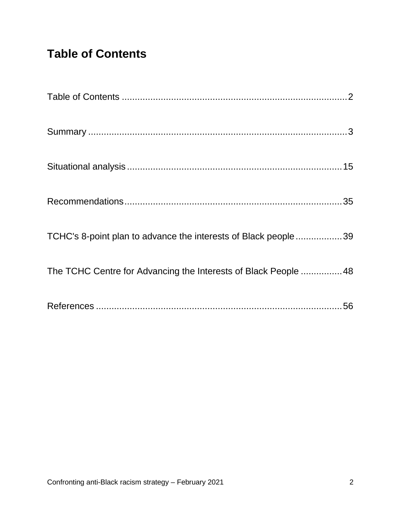## <span id="page-2-0"></span>**Table of Contents**

| TCHC's 8-point plan to advance the interests of Black people39  |  |
|-----------------------------------------------------------------|--|
| The TCHC Centre for Advancing the Interests of Black People  48 |  |
|                                                                 |  |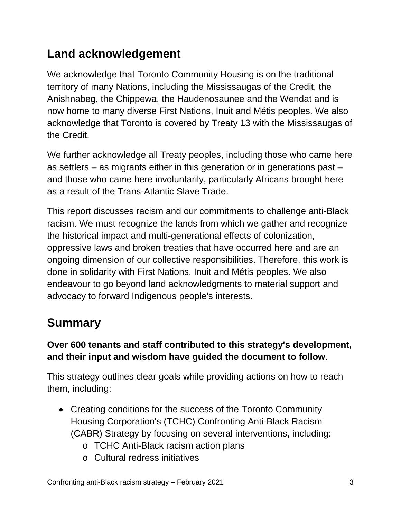## **Land acknowledgement**

We acknowledge that Toronto Community Housing is on the traditional territory of many Nations, including the Mississaugas of the Credit, the Anishnabeg, the Chippewa, the Haudenosaunee and the Wendat and is now home to many diverse First Nations, Inuit and Métis peoples. We also acknowledge that Toronto is covered by Treaty 13 with the Mississaugas of the Credit.

We further acknowledge all Treaty peoples, including those who came here as settlers – as migrants either in this generation or in generations past – and those who came here involuntarily, particularly Africans brought here as a result of the Trans-Atlantic Slave Trade.

This report discusses racism and our commitments to challenge anti-Black racism. We must recognize the lands from which we gather and recognize the historical impact and multi-generational effects of colonization, oppressive laws and broken treaties that have occurred here and are an ongoing dimension of our collective responsibilities. Therefore, this work is done in solidarity with First Nations, Inuit and Métis peoples. We also endeavour to go beyond land acknowledgments to material support and advocacy to forward Indigenous people's interests.

## <span id="page-3-0"></span>**Summary**

#### **Over 600 tenants and staff contributed to this strategy's development, and their input and wisdom have guided the document to follow**.

This strategy outlines clear goals while providing actions on how to reach them, including:

- Creating conditions for the success of the Toronto Community Housing Corporation's (TCHC) Confronting Anti-Black Racism (CABR) Strategy by focusing on several interventions, including:
	- o TCHC Anti-Black racism action plans
	- o Cultural redress initiatives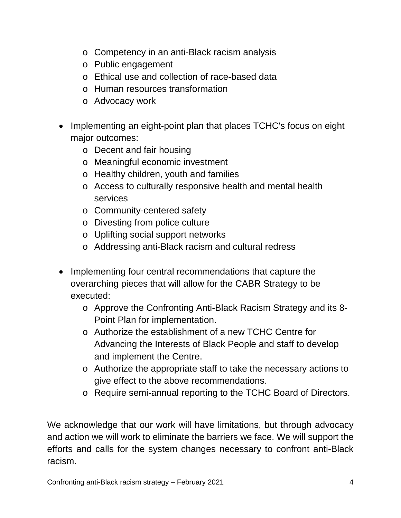- o Competency in an anti-Black racism analysis
- o Public engagement
- o Ethical use and collection of race-based data
- o Human resources transformation
- o Advocacy work
- Implementing an eight-point plan that places TCHC's focus on eight major outcomes:
	- o Decent and fair housing
	- o Meaningful economic investment
	- o Healthy children, youth and families
	- o Access to culturally responsive health and mental health services
	- o Community-centered safety
	- o Divesting from police culture
	- o Uplifting social support networks
	- o Addressing anti-Black racism and cultural redress
- Implementing four central recommendations that capture the overarching pieces that will allow for the CABR Strategy to be executed:
	- o Approve the Confronting Anti-Black Racism Strategy and its 8- Point Plan for implementation.
	- o Authorize the establishment of a new TCHC Centre for Advancing the Interests of Black People and staff to develop and implement the Centre.
	- o Authorize the appropriate staff to take the necessary actions to give effect to the above recommendations.
	- o Require semi-annual reporting to the TCHC Board of Directors.

We acknowledge that our work will have limitations, but through advocacy and action we will work to eliminate the barriers we face. We will support the efforts and calls for the system changes necessary to confront anti-Black racism.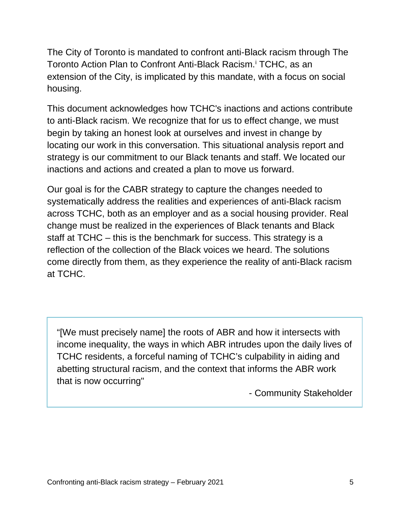The City of Toronto is mandated to confront anti-Black racism through The Toronto Action Plan to Confront Anti-Black Racism. [i](#page-56-1) TCHC, as an extension of the City, is implicated by this mandate, with a focus on social housing.

This document acknowledges how TCHC's inactions and actions contribute to anti-Black racism. We recognize that for us to effect change, we must begin by taking an honest look at ourselves and invest in change by locating our work in this conversation. This situational analysis report and strategy is our commitment to our Black tenants and staff. We located our inactions and actions and created a plan to move us forward.

Our goal is for the CABR strategy to capture the changes needed to systematically address the realities and experiences of anti-Black racism across TCHC, both as an employer and as a social housing provider. Real change must be realized in the experiences of Black tenants and Black staff at TCHC – this is the benchmark for success. This strategy is a reflection of the collection of the Black voices we heard. The solutions come directly from them, as they experience the reality of anti-Black racism at TCHC.

"[We must precisely name] the roots of ABR and how it intersects with income inequality, the ways in which ABR intrudes upon the daily lives of TCHC residents, a forceful naming of TCHC's culpability in aiding and abetting structural racism, and the context that informs the ABR work that is now occurring"

- Community Stakeholder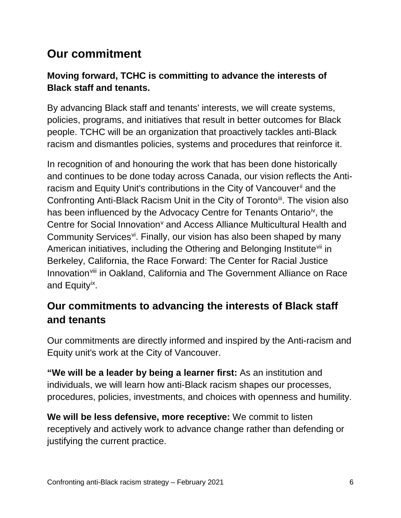## **Our commitment**

#### **Moving forward, TCHC is committing to advance the interests of Black staff and tenants.**

By advancing Black staff and tenants' interests, we will create systems, policies, programs, and initiatives that result in better outcomes for Black people. TCHC will be an organization that proactively tackles anti-Black racism and dismantles policies, systems and procedures that reinforce it.

In recognition of and honouring the work that has been done historically and continues to be done today across Canada, our vision reflects the Antiracism and Equity Unit's contributions in the City of Vancouver<sup>[ii](#page-56-2)</sup> and the Confronting Anti-Black Racism Unit in the City of Toronto<sup>[iii](#page-56-3)</sup>. The vision also has been influenced by the Advocacy Centre for Tenants Ontario<sup>iv</sup>, the Centre for Social Inno[v](#page-56-5)ation<sup>v</sup> and Access Alliance Multicultural Health and Community Ser[vi](#page-56-6)ces<sup>vi</sup>. Finally, our vision has also been shaped by many American initiatives, including the Othering and Belonging Institute<sup>[vii](#page-56-7)</sup> in Berkeley, California, the Race Forward: The Center for Racial Justice Innovation<sup>[viii](#page-56-8)</sup> in Oakland, California and The Government Alliance on Race and Equity[ix](#page-56-9).

#### **Our commitments to advancing the interests of Black staff and tenants**

Our commitments are directly informed and inspired by the Anti-racism and Equity unit's work at the City of Vancouver.

**"We will be a leader by being a learner first:** As an institution and individuals, we will learn how anti-Black racism shapes our processes, procedures, policies, investments, and choices with openness and humility.

**We will be less defensive, more receptive:** We commit to listen receptively and actively work to advance change rather than defending or justifying the current practice.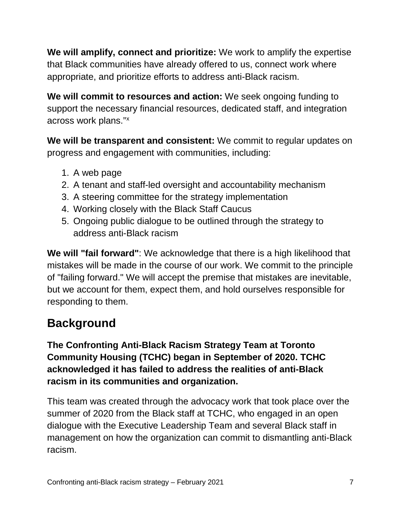**We will amplify, connect and prioritize:** We work to amplify the expertise that Black communities have already offered to us, connect work where appropriate, and prioritize efforts to address anti-Black racism.

**We will commit to resources and action:** We seek ongoing funding to support the necessary financial resources, dedicated staff, and integration across work plans." [x](#page-57-0)

**We will be transparent and consistent:** We commit to regular updates on progress and engagement with communities, including:

- 1. A web page
- 2. A tenant and staff-led oversight and accountability mechanism
- 3. A steering committee for the strategy implementation
- 4. Working closely with the Black Staff Caucus
- 5. Ongoing public dialogue to be outlined through the strategy to address anti-Black racism

**We will "fail forward"**: We acknowledge that there is a high likelihood that mistakes will be made in the course of our work. We commit to the principle of "failing forward." We will accept the premise that mistakes are inevitable, but we account for them, expect them, and hold ourselves responsible for responding to them.

## **Background**

**The Confronting Anti-Black Racism Strategy Team at Toronto Community Housing (TCHC) began in September of 2020. TCHC acknowledged it has failed to address the realities of anti-Black racism in its communities and organization.**

This team was created through the advocacy work that took place over the summer of 2020 from the Black staff at TCHC, who engaged in an open dialogue with the Executive Leadership Team and several Black staff in management on how the organization can commit to dismantling anti-Black racism.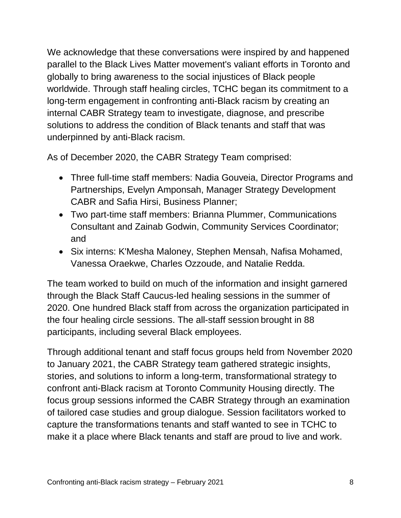We acknowledge that these conversations were inspired by and happened parallel to the Black Lives Matter movement's valiant efforts in Toronto and globally to bring awareness to the social injustices of Black people worldwide. Through staff healing circles, TCHC began its commitment to a long-term engagement in confronting anti-Black racism by creating an internal CABR Strategy team to investigate, diagnose, and prescribe solutions to address the condition of Black tenants and staff that was underpinned by anti-Black racism.

As of December 2020, the CABR Strategy Team comprised:

- Three full-time staff members: Nadia Gouveia, Director Programs and Partnerships, Evelyn Amponsah, Manager Strategy Development CABR and Safia Hirsi, Business Planner;
- Two part-time staff members: Brianna Plummer, Communications Consultant and Zainab Godwin, Community Services Coordinator; and
- Six interns: K'Mesha Maloney, Stephen Mensah, Nafisa Mohamed, Vanessa Oraekwe, Charles Ozzoude, and Natalie Redda.

The team worked to build on much of the information and insight garnered through the Black Staff Caucus-led healing sessions in the summer of 2020. One hundred Black staff from across the organization participated in the four healing circle sessions. The all-staff session brought in 88 participants, including several Black employees.

Through additional tenant and staff focus groups held from November 2020 to January 2021, the CABR Strategy team gathered strategic insights, stories, and solutions to inform a long-term, transformational strategy to confront anti-Black racism at Toronto Community Housing directly. The focus group sessions informed the CABR Strategy through an examination of tailored case studies and group dialogue. Session facilitators worked to capture the transformations tenants and staff wanted to see in TCHC to make it a place where Black tenants and staff are proud to live and work.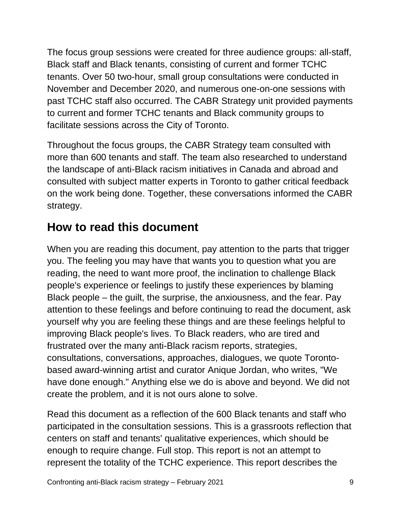The focus group sessions were created for three audience groups: all-staff, Black staff and Black tenants, consisting of current and former TCHC tenants. Over 50 two-hour, small group consultations were conducted in November and December 2020, and numerous one-on-one sessions with past TCHC staff also occurred. The CABR Strategy unit provided payments to current and former TCHC tenants and Black community groups to facilitate sessions across the City of Toronto.

Throughout the focus groups, the CABR Strategy team consulted with more than 600 tenants and staff. The team also researched to understand the landscape of anti-Black racism initiatives in Canada and abroad and consulted with subject matter experts in Toronto to gather critical feedback on the work being done. Together, these conversations informed the CABR strategy.

## **How to read this document**

When you are reading this document, pay attention to the parts that trigger you. The feeling you may have that wants you to question what you are reading, the need to want more proof, the inclination to challenge Black people's experience or feelings to justify these experiences by blaming Black people – the guilt, the surprise, the anxiousness, and the fear. Pay attention to these feelings and before continuing to read the document, ask yourself why you are feeling these things and are these feelings helpful to improving Black people's lives. To Black readers, who are tired and frustrated over the many anti-Black racism reports, strategies, consultations, conversations, approaches, dialogues, we quote Torontobased award-winning artist and curator Anique Jordan, who writes, "We have done enough." Anything else we do is above and beyond. We did not create the problem, and it is not ours alone to solve.

Read this document as a reflection of the 600 Black tenants and staff who participated in the consultation sessions. This is a grassroots reflection that centers on staff and tenants' qualitative experiences, which should be enough to require change. Full stop. This report is not an attempt to represent the totality of the TCHC experience. This report describes the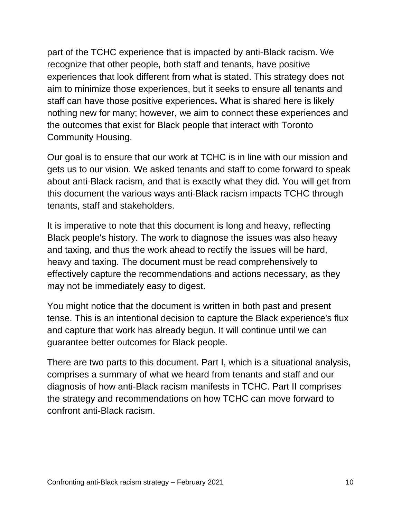part of the TCHC experience that is impacted by anti-Black racism. We recognize that other people, both staff and tenants, have positive experiences that look different from what is stated. This strategy does not aim to minimize those experiences, but it seeks to ensure all tenants and staff can have those positive experiences**.** What is shared here is likely nothing new for many; however, we aim to connect these experiences and the outcomes that exist for Black people that interact with Toronto Community Housing.

Our goal is to ensure that our work at TCHC is in line with our mission and gets us to our vision. We asked tenants and staff to come forward to speak about anti-Black racism, and that is exactly what they did. You will get from this document the various ways anti-Black racism impacts TCHC through tenants, staff and stakeholders.

It is imperative to note that this document is long and heavy, reflecting Black people's history. The work to diagnose the issues was also heavy and taxing, and thus the work ahead to rectify the issues will be hard, heavy and taxing. The document must be read comprehensively to effectively capture the recommendations and actions necessary, as they may not be immediately easy to digest.

You might notice that the document is written in both past and present tense. This is an intentional decision to capture the Black experience's flux and capture that work has already begun. It will continue until we can guarantee better outcomes for Black people.

There are two parts to this document. Part I, which is a situational analysis, comprises a summary of what we heard from tenants and staff and our diagnosis of how anti-Black racism manifests in TCHC. Part II comprises the strategy and recommendations on how TCHC can move forward to confront anti-Black racism.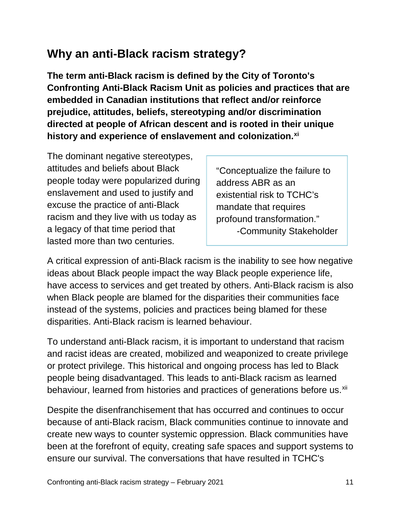## **Why an anti-Black racism strategy?**

**The term anti-Black racism is defined by the City of Toronto's Confronting Anti-Black Racism Unit as policies and practices that are embedded in Canadian institutions that reflect and/or reinforce prejudice, attitudes, beliefs, stereotyping and/or discrimination directed at people of African descent and is rooted in their unique history and experience of enslavement and colonization.[xi](#page-57-1)**

The dominant negative stereotypes, attitudes and beliefs about Black people today were popularized during enslavement and used to justify and excuse the practice of anti-Black racism and they live with us today as a legacy of that time period that lasted more than two centuries.

"Conceptualize the failure to address ABR as an existential risk to TCHC's mandate that requires profound transformation." -Community Stakeholder

A critical expression of anti-Black racism is the inability to see how negative ideas about Black people impact the way Black people experience life, have access to services and get treated by others. Anti-Black racism is also when Black people are blamed for the disparities their communities face instead of the systems, policies and practices being blamed for these disparities. Anti-Black racism is learned behaviour.

To understand anti-Black racism, it is important to understand that racism and racist ideas are created, mobilized and weaponized to create privilege or protect privilege. This historical and ongoing process has led to Black people being disadvantaged. This leads to anti-Black racism as learned behaviour, learned from histories and practices of generations before us.<sup>[xii](#page-57-2)</sup>

Despite the disenfranchisement that has occurred and continues to occur because of anti-Black racism, Black communities continue to innovate and create new ways to counter systemic oppression. Black communities have been at the forefront of equity, creating safe spaces and support systems to ensure our survival. The conversations that have resulted in TCHC's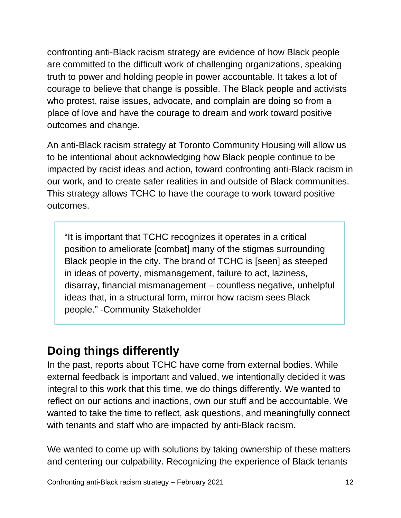confronting anti-Black racism strategy are evidence of how Black people are committed to the difficult work of challenging organizations, speaking truth to power and holding people in power accountable. It takes a lot of courage to believe that change is possible. The Black people and activists who protest, raise issues, advocate, and complain are doing so from a place of love and have the courage to dream and work toward positive outcomes and change.

An anti-Black racism strategy at Toronto Community Housing will allow us to be intentional about acknowledging how Black people continue to be impacted by racist ideas and action, toward confronting anti-Black racism in our work, and to create safer realities in and outside of Black communities. This strategy allows TCHC to have the courage to work toward positive outcomes.

"It is important that TCHC recognizes it operates in a critical position to ameliorate [combat] many of the stigmas surrounding Black people in the city. The brand of TCHC is [seen] as steeped in ideas of poverty, mismanagement, failure to act, laziness, disarray, financial mismanagement – countless negative, unhelpful ideas that, in a structural form, mirror how racism sees Black people." -Community Stakeholder

## **Doing things differently**

In the past, reports about TCHC have come from external bodies. While external feedback is important and valued, we intentionally decided it was integral to this work that this time, we do things differently. We wanted to reflect on our actions and inactions, own our stuff and be accountable. We wanted to take the time to reflect, ask questions, and meaningfully connect with tenants and staff who are impacted by anti-Black racism.

We wanted to come up with solutions by taking ownership of these matters and centering our culpability. Recognizing the experience of Black tenants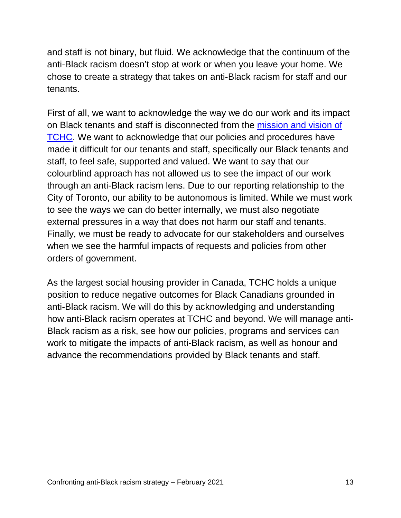and staff is not binary, but fluid. We acknowledge that the continuum of the anti-Black racism doesn't stop at work or when you leave your home. We chose to create a strategy that takes on anti-Black racism for staff and our tenants.

First of all, we want to acknowledge the way we do our work and its impact on Black tenants and staff is disconnected from the [mission and vision of](https://www.torontohousing.ca/about/Pages/Our-mission.aspx)  [TCHC.](https://www.torontohousing.ca/about/Pages/Our-mission.aspx) We want to acknowledge that our policies and procedures have made it difficult for our tenants and staff, specifically our Black tenants and staff, to feel safe, supported and valued. We want to say that our colourblind approach has not allowed us to see the impact of our work through an anti-Black racism lens. Due to our reporting relationship to the City of Toronto, our ability to be autonomous is limited. While we must work to see the ways we can do better internally, we must also negotiate external pressures in a way that does not harm our staff and tenants. Finally, we must be ready to advocate for our stakeholders and ourselves when we see the harmful impacts of requests and policies from other orders of government.

As the largest social housing provider in Canada, TCHC holds a unique position to reduce negative outcomes for Black Canadians grounded in anti-Black racism. We will do this by acknowledging and understanding how anti-Black racism operates at TCHC and beyond. We will manage anti-Black racism as a risk, see how our policies, programs and services can work to mitigate the impacts of anti-Black racism, as well as honour and advance the recommendations provided by Black tenants and staff.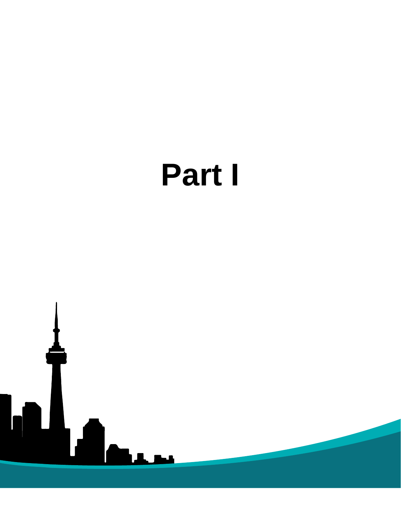

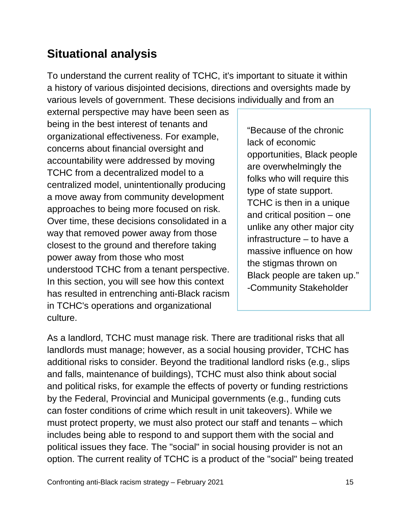## <span id="page-15-0"></span>**Situational analysis**

To understand the current reality of TCHC, it's important to situate it within a history of various disjointed decisions, directions and oversights made by various levels of government. These decisions individually and from an

external perspective may have been seen as being in the best interest of tenants and organizational effectiveness. For example, concerns about financial oversight and accountability were addressed by moving TCHC from a decentralized model to a centralized model, unintentionally producing a move away from community development approaches to being more focused on risk. Over time, these decisions consolidated in a way that removed power away from those closest to the ground and therefore taking power away from those who most understood TCHC from a tenant perspective. In this section, you will see how this context has resulted in entrenching anti-Black racism in TCHC's operations and organizational culture.

"Because of the chronic lack of economic opportunities, Black people are overwhelmingly the folks who will require this type of state support. TCHC is then in a unique and critical position – one unlike any other major city infrastructure – to have a massive influence on how the stigmas thrown on Black people are taken up." -Community Stakeholder

As a landlord, TCHC must manage risk. There are traditional risks that all landlords must manage; however, as a social housing provider, TCHC has additional risks to consider. Beyond the traditional landlord risks (e.g., slips and falls, maintenance of buildings), TCHC must also think about social and political risks, for example the effects of poverty or funding restrictions by the Federal, Provincial and Municipal governments (e.g., funding cuts can foster conditions of crime which result in unit takeovers). While we must protect property, we must also protect our staff and tenants – which includes being able to respond to and support them with the social and political issues they face. The "social" in social housing provider is not an option. The current reality of TCHC is a product of the "social" being treated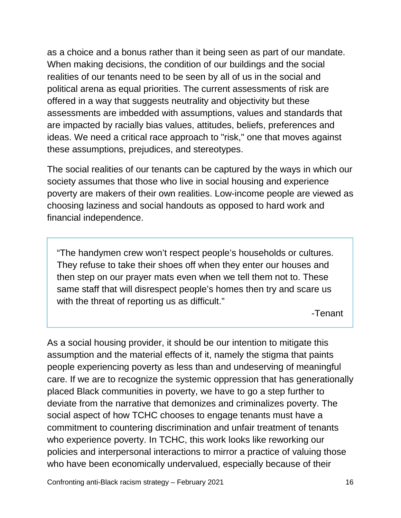as a choice and a bonus rather than it being seen as part of our mandate. When making decisions, the condition of our buildings and the social realities of our tenants need to be seen by all of us in the social and political arena as equal priorities. The current assessments of risk are offered in a way that suggests neutrality and objectivity but these assessments are imbedded with assumptions, values and standards that are impacted by racially bias values, attitudes, beliefs, preferences and ideas. We need a critical race approach to "risk," one that moves against these assumptions, prejudices, and stereotypes.

The social realities of our tenants can be captured by the ways in which our society assumes that those who live in social housing and experience poverty are makers of their own realities. Low-income people are viewed as choosing laziness and social handouts as opposed to hard work and financial independence.

"The handymen crew won't respect people's households or cultures. They refuse to take their shoes off when they enter our houses and then step on our prayer mats even when we tell them not to. These same staff that will disrespect people's homes then try and scare us with the threat of reporting us as difficult."

-Tenant

As a social housing provider, it should be our intention to mitigate this assumption and the material effects of it, namely the stigma that paints people experiencing poverty as less than and undeserving of meaningful care. If we are to recognize the systemic oppression that has generationally placed Black communities in poverty, we have to go a step further to deviate from the narrative that demonizes and criminalizes poverty. The social aspect of how TCHC chooses to engage tenants must have a commitment to countering discrimination and unfair treatment of tenants who experience poverty. In TCHC, this work looks like reworking our policies and interpersonal interactions to mirror a practice of valuing those who have been economically undervalued, especially because of their

Confronting anti-Black racism strategy – February 2021 16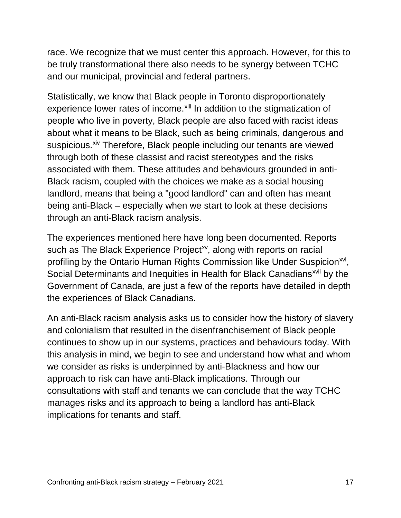race. We recognize that we must center this approach. However, for this to be truly transformational there also needs to be synergy between TCHC and our municipal, provincial and federal partners.

Statistically, we know that Black people in Toronto disproportionately experience lower rates of income. <sup>[xiii](#page-58-0)</sup> In addition to the stigmatization of people who live in poverty, Black people are also faced with racist ideas about what it means to be Black, such as being criminals, dangerous and suspicious.<sup>[xiv](#page-58-1)</sup> Therefore, Black people including our tenants are viewed through both of these classist and racist stereotypes and the risks associated with them. These attitudes and behaviours grounded in anti-Black racism, coupled with the choices we make as a social housing landlord, means that being a "good landlord" can and often has meant being anti-Black – especially when we start to look at these decisions through an anti-Black racism analysis.

The experiences mentioned here have long been documented. Reports such as The Black Experience Project<sup>[xv](#page-58-2)</sup>, along with reports on racial profiling by the Ontario Human Rights Commission like Under Suspicion<sup>xvi</sup>, Social Determinants and Inequities in Health for Black Canadians<sup>[xvii](#page-58-4)</sup> by the Government of Canada, are just a few of the reports have detailed in depth the experiences of Black Canadians.

An anti-Black racism analysis asks us to consider how the history of slavery and colonialism that resulted in the disenfranchisement of Black people continues to show up in our systems, practices and behaviours today. With this analysis in mind, we begin to see and understand how what and whom we consider as risks is underpinned by anti-Blackness and how our approach to risk can have anti-Black implications. Through our consultations with staff and tenants we can conclude that the way TCHC manages risks and its approach to being a landlord has anti-Black implications for tenants and staff.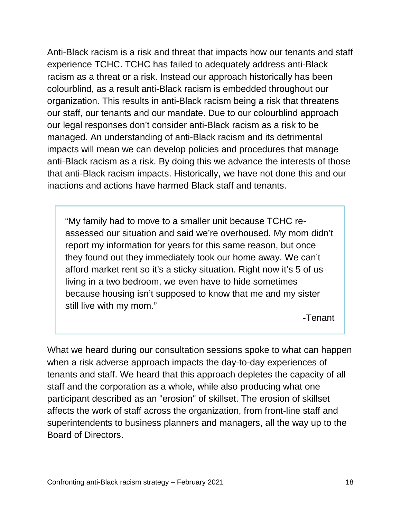Anti-Black racism is a risk and threat that impacts how our tenants and staff experience TCHC. TCHC has failed to adequately address anti-Black racism as a threat or a risk. Instead our approach historically has been colourblind, as a result anti-Black racism is embedded throughout our organization. This results in anti-Black racism being a risk that threatens our staff, our tenants and our mandate. Due to our colourblind approach our legal responses don't consider anti-Black racism as a risk to be managed. An understanding of anti-Black racism and its detrimental impacts will mean we can develop policies and procedures that manage anti-Black racism as a risk. By doing this we advance the interests of those that anti-Black racism impacts. Historically, we have not done this and our inactions and actions have harmed Black staff and tenants.

"My family had to move to a smaller unit because TCHC reassessed our situation and said we're overhoused. My mom didn't report my information for years for this same reason, but once they found out they immediately took our home away. We can't afford market rent so it's a sticky situation. Right now it's 5 of us living in a two bedroom, we even have to hide sometimes because housing isn't supposed to know that me and my sister still live with my mom."

-Tenant

What we heard during our consultation sessions spoke to what can happen when a risk adverse approach impacts the day-to-day experiences of tenants and staff. We heard that this approach depletes the capacity of all staff and the corporation as a whole, while also producing what one participant described as an "erosion" of skillset. The erosion of skillset affects the work of staff across the organization, from front-line staff and superintendents to business planners and managers, all the way up to the Board of Directors.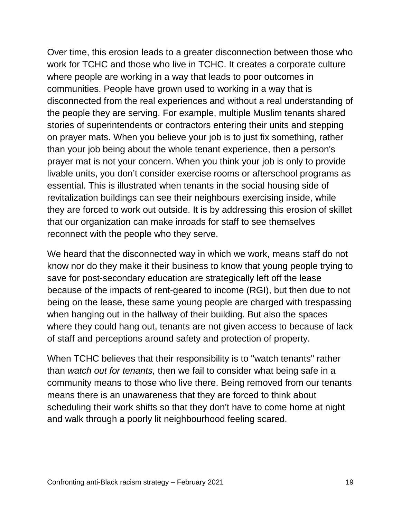Over time, this erosion leads to a greater disconnection between those who work for TCHC and those who live in TCHC. It creates a corporate culture where people are working in a way that leads to poor outcomes in communities. People have grown used to working in a way that is disconnected from the real experiences and without a real understanding of the people they are serving. For example, multiple Muslim tenants shared stories of superintendents or contractors entering their units and stepping on prayer mats. When you believe your job is to just fix something, rather than your job being about the whole tenant experience, then a person's prayer mat is not your concern. When you think your job is only to provide livable units, you don't consider exercise rooms or afterschool programs as essential. This is illustrated when tenants in the social housing side of revitalization buildings can see their neighbours exercising inside, while they are forced to work out outside. It is by addressing this erosion of skillet that our organization can make inroads for staff to see themselves reconnect with the people who they serve.

We heard that the disconnected way in which we work, means staff do not know nor do they make it their business to know that young people trying to save for post-secondary education are strategically left off the lease because of the impacts of rent-geared to income (RGI), but then due to not being on the lease, these same young people are charged with trespassing when hanging out in the hallway of their building. But also the spaces where they could hang out, tenants are not given access to because of lack of staff and perceptions around safety and protection of property.

When TCHC believes that their responsibility is to "watch tenants" rather than *watch out for tenants,* then we fail to consider what being safe in a community means to those who live there. Being removed from our tenants means there is an unawareness that they are forced to think about scheduling their work shifts so that they don't have to come home at night and walk through a poorly lit neighbourhood feeling scared.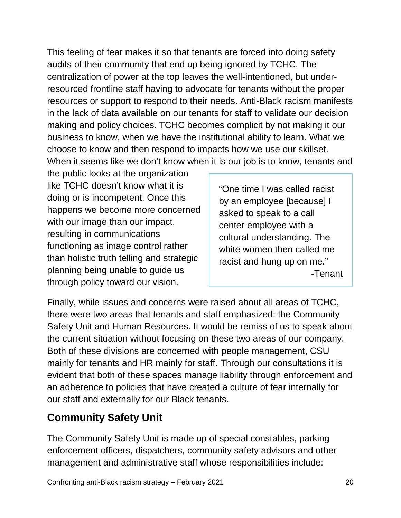This feeling of fear makes it so that tenants are forced into doing safety audits of their community that end up being ignored by TCHC. The centralization of power at the top leaves the well-intentioned, but underresourced frontline staff having to advocate for tenants without the proper resources or support to respond to their needs. Anti-Black racism manifests in the lack of data available on our tenants for staff to validate our decision making and policy choices. TCHC becomes complicit by not making it our business to know, when we have the institutional ability to learn. What we choose to know and then respond to impacts how we use our skillset. When it seems like we don't know when it is our job is to know, tenants and

the public looks at the organization like TCHC doesn't know what it is doing or is incompetent. Once this happens we become more concerned with our image than our impact, resulting in communications functioning as image control rather than holistic truth telling and strategic planning being unable to guide us through policy toward our vision.

"One time I was called racist by an employee [because] I asked to speak to a call center employee with a cultural understanding. The white women then called me racist and hung up on me." -Tenant

Finally, while issues and concerns were raised about all areas of TCHC, there were two areas that tenants and staff emphasized: the Community Safety Unit and Human Resources. It would be remiss of us to speak about the current situation without focusing on these two areas of our company. Both of these divisions are concerned with people management, CSU mainly for tenants and HR mainly for staff. Through our consultations it is evident that both of these spaces manage liability through enforcement and an adherence to policies that have created a culture of fear internally for our staff and externally for our Black tenants.

## **Community Safety Unit**

The Community Safety Unit is made up of special constables, parking enforcement officers, dispatchers, community safety advisors and other management and administrative staff whose responsibilities include: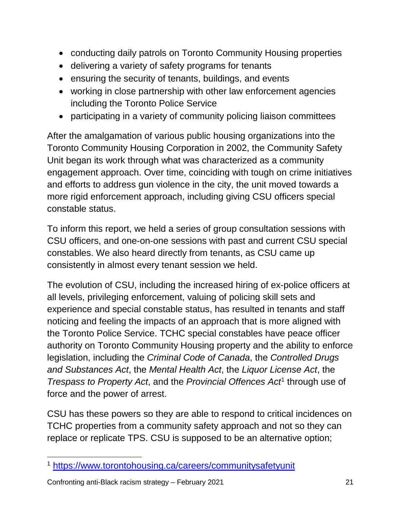- conducting daily patrols on Toronto Community Housing properties
- delivering a variety of safety programs for tenants
- ensuring the security of tenants, buildings, and events
- working in close partnership with other law enforcement agencies including the Toronto Police Service
- participating in a variety of community policing liaison committees

After the amalgamation of various public housing organizations into the Toronto Community Housing Corporation in 2002, the Community Safety Unit began its work through what was characterized as a community engagement approach. Over time, coinciding with tough on crime initiatives and efforts to address gun violence in the city, the unit moved towards a more rigid enforcement approach, including giving CSU officers special constable status.

To inform this report, we held a series of group consultation sessions with CSU officers, and one-on-one sessions with past and current CSU special constables. We also heard directly from tenants, as CSU came up consistently in almost every tenant session we held.

The evolution of CSU, including the increased hiring of ex-police officers at all levels, privileging enforcement, valuing of policing skill sets and experience and special constable status, has resulted in tenants and staff noticing and feeling the impacts of an approach that is more aligned with the Toronto Police Service. TCHC special constables have peace officer authority on Toronto Community Housing property and the ability to enforce legislation, including the *Criminal Code of Canada*, the *Controlled Drugs and Substances Act*, the *Mental Health Act*, the *Liquor License Act*, the *Trespass to Property Act*, and the *Provincial Offences Act*[1](#page-21-0) through use of force and the power of arrest.

CSU has these powers so they are able to respond to critical incidences on TCHC properties from a community safety approach and not so they can replace or replicate TPS. CSU is supposed to be an alternative option;

<span id="page-21-0"></span> <sup>1</sup> <https://www.torontohousing.ca/careers/communitysafetyunit>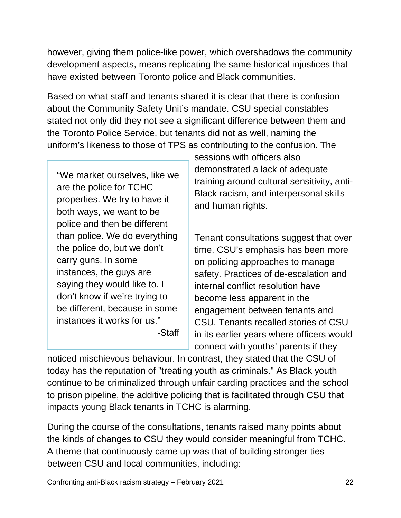however, giving them police-like power, which overshadows the community development aspects, means replicating the same historical injustices that have existed between Toronto police and Black communities.

Based on what staff and tenants shared it is clear that there is confusion about the Community Safety Unit's mandate. CSU special constables stated not only did they not see a significant difference between them and the Toronto Police Service, but tenants did not as well, naming the uniform's likeness to those of TPS as contributing to the confusion. The

"We market ourselves, like we are the police for TCHC properties. We try to have it both ways, we want to be police and then be different than police. We do everything the police do, but we don't carry guns. In some instances, the guys are saying they would like to. I don't know if we're trying to be different, because in some instances it works for us." -Staff

sessions with officers also demonstrated a lack of adequate training around cultural sensitivity, anti-Black racism, and interpersonal skills and human rights.

Tenant consultations suggest that over time, CSU's emphasis has been more on policing approaches to manage safety. Practices of de-escalation and internal conflict resolution have become less apparent in the engagement between tenants and CSU. Tenants recalled stories of CSU in its earlier years where officers would connect with youths' parents if they

noticed mischievous behaviour. In contrast, they stated that the CSU of today has the reputation of "treating youth as criminals." As Black youth continue to be criminalized through unfair carding practices and the school to prison pipeline, the additive policing that is facilitated through CSU that impacts young Black tenants in TCHC is alarming.

During the course of the consultations, tenants raised many points about the kinds of changes to CSU they would consider meaningful from TCHC. A theme that continuously came up was that of building stronger ties between CSU and local communities, including: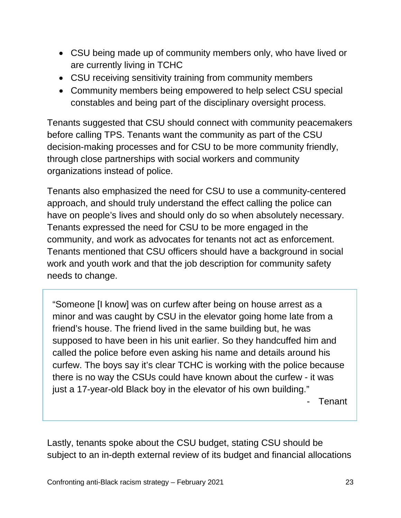- CSU being made up of community members only, who have lived or are currently living in TCHC
- CSU receiving sensitivity training from community members
- Community members being empowered to help select CSU special constables and being part of the disciplinary oversight process.

Tenants suggested that CSU should connect with community peacemakers before calling TPS. Tenants want the community as part of the CSU decision-making processes and for CSU to be more community friendly, through close partnerships with social workers and community organizations instead of police.

Tenants also emphasized the need for CSU to use a community-centered approach, and should truly understand the effect calling the police can have on people's lives and should only do so when absolutely necessary. Tenants expressed the need for CSU to be more engaged in the community, and work as advocates for tenants not act as enforcement. Tenants mentioned that CSU officers should have a background in social work and youth work and that the job description for community safety needs to change.

"Someone [I know] was on curfew after being on house arrest as a minor and was caught by CSU in the elevator going home late from a friend's house. The friend lived in the same building but, he was supposed to have been in his unit earlier. So they handcuffed him and called the police before even asking his name and details around his curfew. The boys say it's clear TCHC is working with the police because there is no way the CSUs could have known about the curfew - it was just a 17-year-old Black boy in the elevator of his own building."

**Tenant** 

Lastly, tenants spoke about the CSU budget, stating CSU should be subject to an in-depth external review of its budget and financial allocations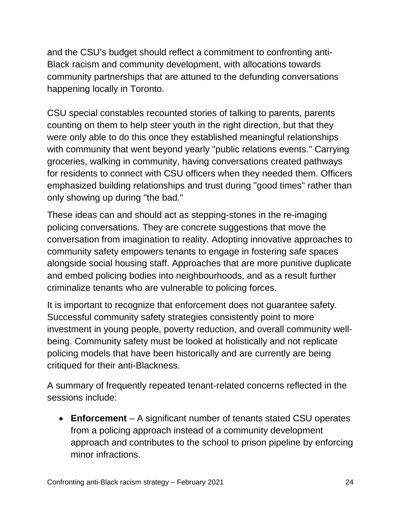and the CSU's budget should reflect a commitment to confronting anti-Black racism and community development, with allocations towards community partnerships that are attuned to the defunding conversations happening locally in Toronto.

CSU special constables recounted stories of talking to parents, parents counting on them to help steer youth in the right direction, but that they were only able to do this once they established meaningful relationships with community that went beyond yearly "public relations events." Carrying groceries, walking in community, having conversations created pathways for residents to connect with CSU officers when they needed them. Officers emphasized building relationships and trust during "good times" rather than only showing up during "the bad."

These ideas can and should act as stepping-stones in the re-imaging policing conversations. They are concrete suggestions that move the conversation from imagination to reality. Adopting innovative approaches to community safety empowers tenants to engage in fostering safe spaces alongside social housing staff. Approaches that are more punitive duplicate and embed policing bodies into neighbourhoods, and as a result further criminalize tenants who are vulnerable to policing forces.

It is important to recognize that enforcement does not guarantee safety. Successful community safety strategies consistently point to more investment in young people, poverty reduction, and overall community wellbeing. Community safety must be looked at holistically and not replicate policing models that have been historically and are currently are being critiqued for their anti-Blackness.

A summary of frequently repeated tenant-related concerns reflected in the sessions include:

• **Enforcement** – A significant number of tenants stated CSU operates from a policing approach instead of a community development approach and contributes to the school to prison pipeline by enforcing minor infractions.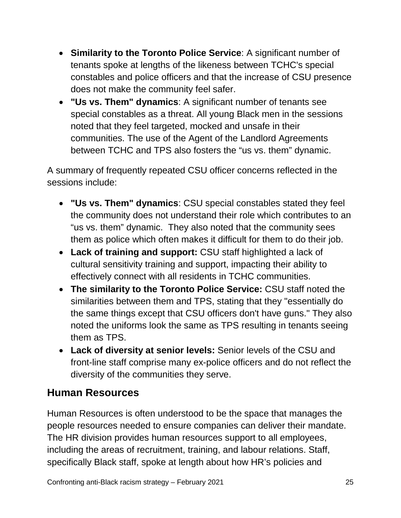- **Similarity to the Toronto Police Service**: A significant number of tenants spoke at lengths of the likeness between TCHC's special constables and police officers and that the increase of CSU presence does not make the community feel safer.
- **"Us vs. Them" dynamics**: A significant number of tenants see special constables as a threat. All young Black men in the sessions noted that they feel targeted, mocked and unsafe in their communities. The use of the Agent of the Landlord Agreements between TCHC and TPS also fosters the "us vs. them" dynamic.

A summary of frequently repeated CSU officer concerns reflected in the sessions include:

- **"Us vs. Them" dynamics**: CSU special constables stated they feel the community does not understand their role which contributes to an "us vs. them" dynamic. They also noted that the community sees them as police which often makes it difficult for them to do their job.
- **Lack of training and support:** CSU staff highlighted a lack of cultural sensitivity training and support, impacting their ability to effectively connect with all residents in TCHC communities.
- **The similarity to the Toronto Police Service:** CSU staff noted the similarities between them and TPS, stating that they "essentially do the same things except that CSU officers don't have guns." They also noted the uniforms look the same as TPS resulting in tenants seeing them as TPS.
- **Lack of diversity at senior levels:** Senior levels of the CSU and front-line staff comprise many ex-police officers and do not reflect the diversity of the communities they serve.

#### **Human Resources**

Human Resources is often understood to be the space that manages the people resources needed to ensure companies can deliver their mandate. The HR division provides human resources support to all employees, including the areas of recruitment, training, and labour relations. Staff, specifically Black staff, spoke at length about how HR's policies and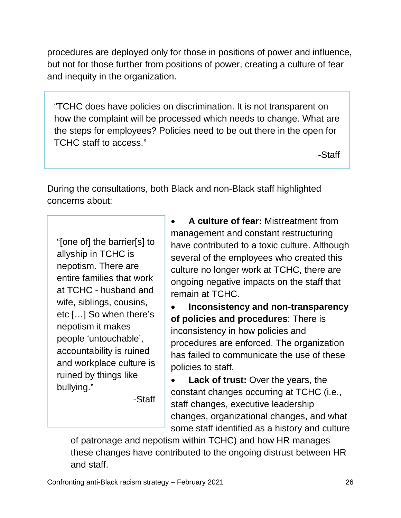procedures are deployed only for those in positions of power and influence, but not for those further from positions of power, creating a culture of fear and inequity in the organization.

"TCHC does have policies on discrimination. It is not transparent on how the complaint will be processed which needs to change. What are the steps for employees? Policies need to be out there in the open for TCHC staff to access."

-Staff

During the consultations, both Black and non-Black staff highlighted concerns about:

"[one of] the barrier[s] to allyship in TCHC is nepotism. There are entire families that work at TCHC - husband and wife, siblings, cousins, etc […] So when there's nepotism it makes people 'untouchable', accountability is ruined and workplace culture is ruined by things like bullying."

-Staff

• **A culture of fear:** Mistreatment from management and constant restructuring have contributed to a toxic culture. Although several of the employees who created this culture no longer work at TCHC, there are ongoing negative impacts on the staff that remain at TCHC.

• **Inconsistency and non-transparency of policies and procedures**: There is inconsistency in how policies and procedures are enforced. The organization has failed to communicate the use of these policies to staff.

**Lack of trust:** Over the years, the constant changes occurring at TCHC (i.e., staff changes, executive leadership changes, organizational changes, and what some staff identified as a history and culture

of patronage and nepotism within TCHC) and how HR manages these changes have contributed to the ongoing distrust between HR and staff.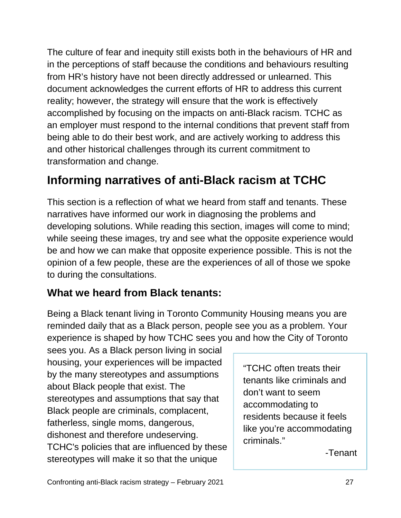The culture of fear and inequity still exists both in the behaviours of HR and in the perceptions of staff because the conditions and behaviours resulting from HR's history have not been directly addressed or unlearned. This document acknowledges the current efforts of HR to address this current reality; however, the strategy will ensure that the work is effectively accomplished by focusing on the impacts on anti-Black racism. TCHC as an employer must respond to the internal conditions that prevent staff from being able to do their best work, and are actively working to address this and other historical challenges through its current commitment to transformation and change.

## **Informing narratives of anti-Black racism at TCHC**

This section is a reflection of what we heard from staff and tenants. These narratives have informed our work in diagnosing the problems and developing solutions. While reading this section, images will come to mind; while seeing these images, try and see what the opposite experience would be and how we can make that opposite experience possible. This is not the opinion of a few people, these are the experiences of all of those we spoke to during the consultations.

#### **What we heard from Black tenants:**

Being a Black tenant living in Toronto Community Housing means you are reminded daily that as a Black person, people see you as a problem. Your experience is shaped by how TCHC sees you and how the City of Toronto

sees you. As a Black person living in social housing, your experiences will be impacted by the many stereotypes and assumptions about Black people that exist. The stereotypes and assumptions that say that Black people are criminals, complacent, fatherless, single moms, dangerous, dishonest and therefore undeserving. TCHC's policies that are influenced by these stereotypes will make it so that the unique

"TCHC often treats their tenants like criminals and don't want to seem accommodating to residents because it feels like you're accommodating criminals."

-Tenant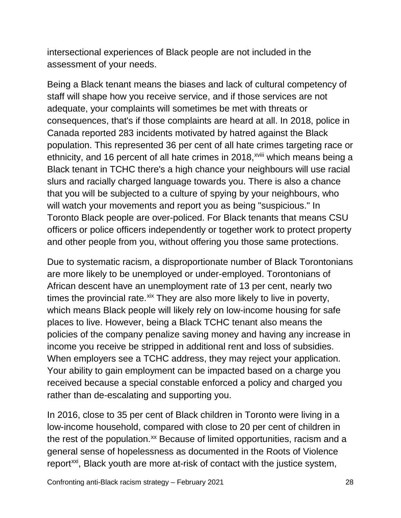intersectional experiences of Black people are not included in the assessment of your needs.

Being a Black tenant means the biases and lack of cultural competency of staff will shape how you receive service, and if those services are not adequate, your complaints will sometimes be met with threats or consequences, that's if those complaints are heard at all. In 2018, police in Canada reported 283 incidents motivated by hatred against the Black population. This represented 36 per cent of all hate crimes targeting race or ethn[i](#page-58-5)city, and 16 percent of all hate crimes in 2018,<sup>xviii</sup> which means being a Black tenant in TCHC there's a high chance your neighbours will use racial slurs and racially charged language towards you. There is also a chance that you will be subjected to a culture of spying by your neighbours, who will watch your movements and report you as being "suspicious." In Toronto Black people are over-policed. For Black tenants that means CSU officers or police officers independently or together work to protect property and other people from you, without offering you those same protections.

Due to systematic racism, a disproportionate number of Black Torontonians are more likely to be unemployed or under-employed. Torontonians of African descent have an unemployment rate of 13 per cent, nearly two times the provincial rate.<sup>[xix](#page-58-6)</sup> They are also more likely to live in poverty, which means Black people will likely rely on low-income housing for safe places to live. However, being a Black TCHC tenant also means the policies of the company penalize saving money and having any increase in income you receive be stripped in additional rent and loss of subsidies. When employers see a TCHC address, they may reject your application. Your ability to gain employment can be impacted based on a charge you received because a special constable enforced a policy and charged you rather than de-escalating and supporting you.

In 2016, close to 35 per cent of Black children in Toronto were living in a low-income household, compared with close to 20 per cent of children in the rest of the population.<sup>[xx](#page-58-7)</sup> Because of limited opportunities, racism and a general sense of hopelessness as documented in the Roots of Violence report<sup>xxi</sup>, Black youth are more at-risk of contact with the justice system,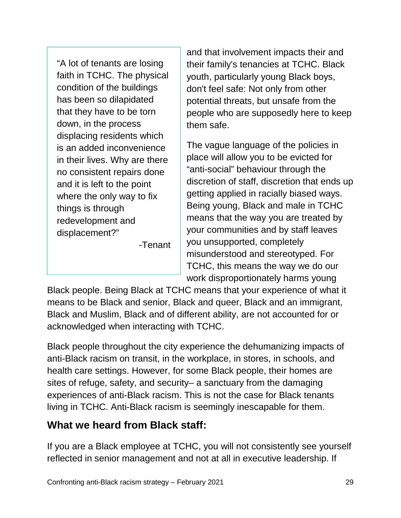"A lot of tenants are losing faith in TCHC. The physical condition of the buildings has been so dilapidated that they have to be torn down, in the process displacing residents which is an added inconvenience in their lives. Why are there no consistent repairs done and it is left to the point where the only way to fix things is through redevelopment and displacement?"

-Tenant

and that involvement impacts their and their family's tenancies at TCHC. Black youth, particularly young Black boys, don't feel safe: Not only from other potential threats, but unsafe from the people who are supposedly here to keep them safe.

The vague language of the policies in place will allow you to be evicted for "anti-social" behaviour through the discretion of staff, discretion that ends up getting applied in racially biased ways. Being young, Black and male in TCHC means that the way you are treated by your communities and by staff leaves you unsupported, completely misunderstood and stereotyped. For TCHC, this means the way we do our work disproportionately harms young

Black people. Being Black at TCHC means that your experience of what it means to be Black and senior, Black and queer, Black and an immigrant, Black and Muslim, Black and of different ability, are not accounted for or acknowledged when interacting with TCHC.

Black people throughout the city experience the dehumanizing impacts of anti-Black racism on transit, in the workplace, in stores, in schools, and health care settings. However, for some Black people, their homes are sites of refuge, safety, and security– a sanctuary from the damaging experiences of anti-Black racism. This is not the case for Black tenants living in TCHC. Anti-Black racism is seemingly inescapable for them.

#### **What we heard from Black staff:**

If you are a Black employee at TCHC, you will not consistently see yourself reflected in senior management and not at all in executive leadership. If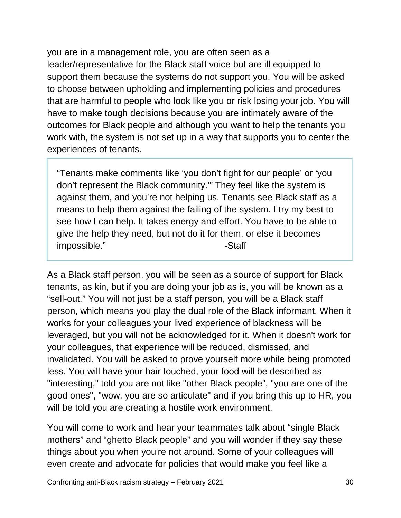you are in a management role, you are often seen as a leader/representative for the Black staff voice but are ill equipped to support them because the systems do not support you. You will be asked to choose between upholding and implementing policies and procedures that are harmful to people who look like you or risk losing your job. You will have to make tough decisions because you are intimately aware of the outcomes for Black people and although you want to help the tenants you work with, the system is not set up in a way that supports you to center the experiences of tenants.

"Tenants make comments like 'you don't fight for our people' or 'you don't represent the Black community.'" They feel like the system is against them, and you're not helping us. Tenants see Black staff as a means to help them against the failing of the system. I try my best to see how I can help. It takes energy and effort. You have to be able to give the help they need, but not do it for them, or else it becomes impossible." and a staff state of the staff state of the staff state of the staff state of the staff state of the staff state of the staff state of the staff state of the state of the state of the state of the state of the

As a Black staff person, you will be seen as a source of support for Black tenants, as kin, but if you are doing your job as is, you will be known as a "sell-out." You will not just be a staff person, you will be a Black staff person, which means you play the dual role of the Black informant. When it works for your colleagues your lived experience of blackness will be leveraged, but you will not be acknowledged for it. When it doesn't work for your colleagues, that experience will be reduced, dismissed, and invalidated. You will be asked to prove yourself more while being promoted less. You will have your hair touched, your food will be described as "interesting," told you are not like "other Black people", "you are one of the good ones", "wow, you are so articulate" and if you bring this up to HR, you will be told you are creating a hostile work environment.

You will come to work and hear your teammates talk about "single Black mothers" and "ghetto Black people" and you will wonder if they say these things about you when you're not around. Some of your colleagues will even create and advocate for policies that would make you feel like a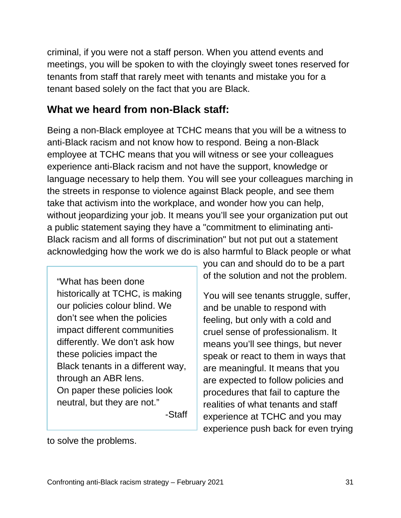criminal, if you were not a staff person. When you attend events and meetings, you will be spoken to with the cloyingly sweet tones reserved for tenants from staff that rarely meet with tenants and mistake you for a tenant based solely on the fact that you are Black.

#### **What we heard from non-Black staff:**

Being a non-Black employee at TCHC means that you will be a witness to anti-Black racism and not know how to respond. Being a non-Black employee at TCHC means that you will witness or see your colleagues experience anti-Black racism and not have the support, knowledge or language necessary to help them. You will see your colleagues marching in the streets in response to violence against Black people, and see them take that activism into the workplace, and wonder how you can help, without jeopardizing your job. It means you'll see your organization put out a public statement saying they have a "commitment to eliminating anti-Black racism and all forms of discrimination" but not put out a statement acknowledging how the work we do is also harmful to Black people or what

"What has been done historically at TCHC, is making our policies colour blind. We don't see when the policies impact different communities differently. We don't ask how these policies impact the Black tenants in a different way, through an ABR lens. On paper these policies look neutral, but they are not." -Staff you can and should do to be a part of the solution and not the problem.

You will see tenants struggle, suffer, and be unable to respond with feeling, but only with a cold and cruel sense of professionalism. It means you'll see things, but never speak or react to them in ways that are meaningful. It means that you are expected to follow policies and procedures that fail to capture the realities of what tenants and staff experience at TCHC and you may experience push back for even trying

to solve the problems.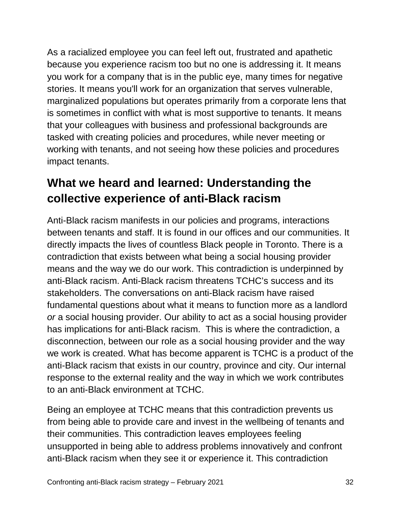As a racialized employee you can feel left out, frustrated and apathetic because you experience racism too but no one is addressing it. It means you work for a company that is in the public eye, many times for negative stories. It means you'll work for an organization that serves vulnerable, marginalized populations but operates primarily from a corporate lens that is sometimes in conflict with what is most supportive to tenants. It means that your colleagues with business and professional backgrounds are tasked with creating policies and procedures, while never meeting or working with tenants, and not seeing how these policies and procedures impact tenants.

## **What we heard and learned: Understanding the collective experience of anti-Black racism**

Anti-Black racism manifests in our policies and programs, interactions between tenants and staff. It is found in our offices and our communities. It directly impacts the lives of countless Black people in Toronto. There is a contradiction that exists between what being a social housing provider means and the way we do our work. This contradiction is underpinned by anti-Black racism. Anti-Black racism threatens TCHC's success and its stakeholders. The conversations on anti-Black racism have raised fundamental questions about what it means to function more as a landlord *or* a social housing provider. Our ability to act as a social housing provider has implications for anti-Black racism. This is where the contradiction, a disconnection, between our role as a social housing provider and the way we work is created. What has become apparent is TCHC is a product of the anti-Black racism that exists in our country, province and city. Our internal response to the external reality and the way in which we work contributes to an anti-Black environment at TCHC.

Being an employee at TCHC means that this contradiction prevents us from being able to provide care and invest in the wellbeing of tenants and their communities. This contradiction leaves employees feeling unsupported in being able to address problems innovatively and confront anti-Black racism when they see it or experience it. This contradiction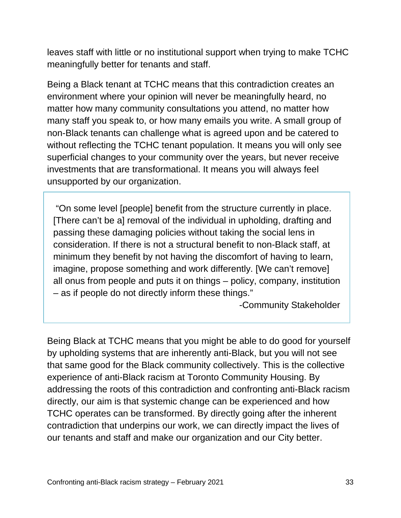leaves staff with little or no institutional support when trying to make TCHC meaningfully better for tenants and staff.

Being a Black tenant at TCHC means that this contradiction creates an environment where your opinion will never be meaningfully heard, no matter how many community consultations you attend, no matter how many staff you speak to, or how many emails you write. A small group of non-Black tenants can challenge what is agreed upon and be catered to without reflecting the TCHC tenant population. It means you will only see superficial changes to your community over the years, but never receive investments that are transformational. It means you will always feel unsupported by our organization.

"On some level [people] benefit from the structure currently in place. [There can't be a] removal of the individual in upholding, drafting and passing these damaging policies without taking the social lens in consideration. If there is not a structural benefit to non-Black staff, at minimum they benefit by not having the discomfort of having to learn, imagine, propose something and work differently. [We can't remove] all onus from people and puts it on things – policy, company, institution – as if people do not directly inform these things."

-Community Stakeholder

Being Black at TCHC means that you might be able to do good for yourself by upholding systems that are inherently anti-Black, but you will not see that same good for the Black community collectively. This is the collective experience of anti-Black racism at Toronto Community Housing. By addressing the roots of this contradiction and confronting anti-Black racism directly, our aim is that systemic change can be experienced and how TCHC operates can be transformed. By directly going after the inherent contradiction that underpins our work, we can directly impact the lives of our tenants and staff and make our organization and our City better.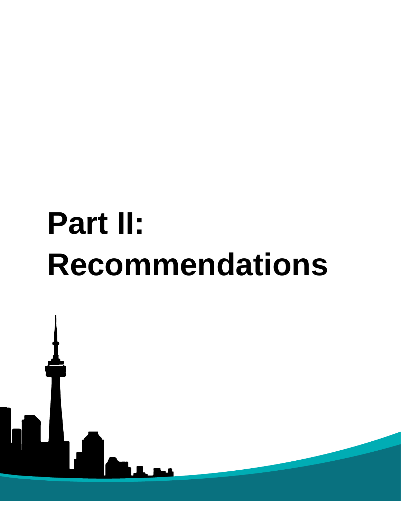# **Part II: Recommendations**

Confronting anti-Black racism strategy – February 2021 34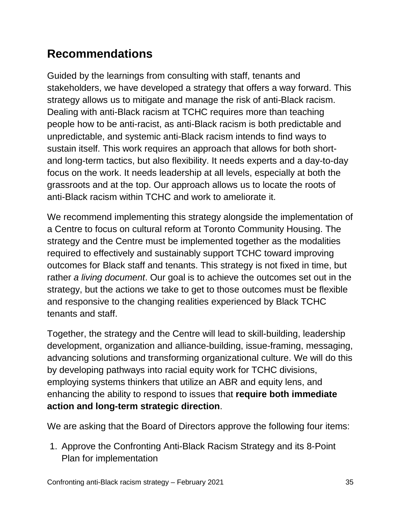## <span id="page-35-0"></span>**Recommendations**

Guided by the learnings from consulting with staff, tenants and stakeholders, we have developed a strategy that offers a way forward. This strategy allows us to mitigate and manage the risk of anti-Black racism. Dealing with anti-Black racism at TCHC requires more than teaching people how to be anti-racist, as anti-Black racism is both predictable and unpredictable, and systemic anti-Black racism intends to find ways to sustain itself. This work requires an approach that allows for both shortand long-term tactics, but also flexibility. It needs experts and a day-to-day focus on the work. It needs leadership at all levels, especially at both the grassroots and at the top. Our approach allows us to locate the roots of anti-Black racism within TCHC and work to ameliorate it.

We recommend implementing this strategy alongside the implementation of a Centre to focus on cultural reform at Toronto Community Housing. The strategy and the Centre must be implemented together as the modalities required to effectively and sustainably support TCHC toward improving outcomes for Black staff and tenants. This strategy is not fixed in time, but rather *a living document*. Our goal is to achieve the outcomes set out in the strategy, but the actions we take to get to those outcomes must be flexible and responsive to the changing realities experienced by Black TCHC tenants and staff.

Together, the strategy and the Centre will lead to skill-building, leadership development, organization and alliance-building, issue-framing, messaging, advancing solutions and transforming organizational culture. We will do this by developing pathways into racial equity work for TCHC divisions, employing systems thinkers that utilize an ABR and equity lens, and enhancing the ability to respond to issues that **require both immediate action and long-term strategic direction**.

We are asking that the Board of Directors approve the following four items:

1. Approve the Confronting Anti-Black Racism Strategy and its 8-Point Plan for implementation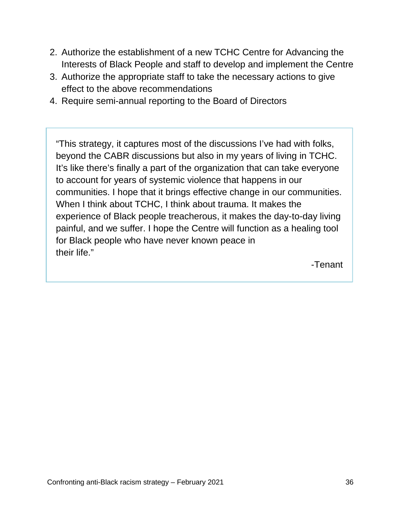- 2. Authorize the establishment of a new TCHC Centre for Advancing the Interests of Black People and staff to develop and implement the Centre
- 3. Authorize the appropriate staff to take the necessary actions to give effect to the above recommendations
- 4. Require semi-annual reporting to the Board of Directors

"This strategy, it captures most of the discussions I've had with folks, beyond the CABR discussions but also in my years of living in TCHC. It's like there's finally a part of the organization that can take everyone to account for years of systemic violence that happens in our communities. I hope that it brings effective change in our communities. When I think about TCHC, I think about trauma. It makes the experience of Black people treacherous, it makes the day-to-day living painful, and we suffer. I hope the Centre will function as a healing tool for Black people who have never known peace in their life."

-Tenant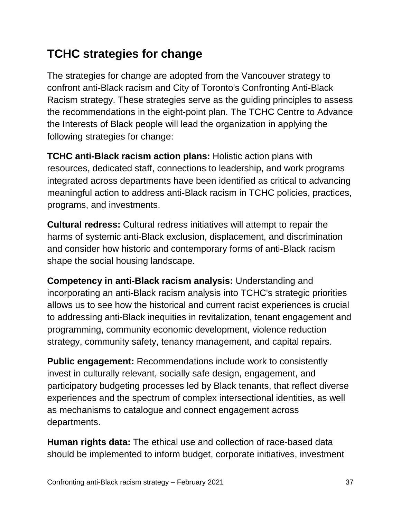## **TCHC strategies for change**

The strategies for change are adopted from the Vancouver strategy to confront anti-Black racism and City of Toronto's Confronting Anti-Black Racism strategy. These strategies serve as the guiding principles to assess the recommendations in the eight-point plan. The TCHC Centre to Advance the Interests of Black people will lead the organization in applying the following strategies for change:

**TCHC anti-Black racism action plans:** Holistic action plans with resources, dedicated staff, connections to leadership, and work programs integrated across departments have been identified as critical to advancing meaningful action to address anti-Black racism in TCHC policies, practices, programs, and investments.

**Cultural redress:** Cultural redress initiatives will attempt to repair the harms of systemic anti-Black exclusion, displacement, and discrimination and consider how historic and contemporary forms of anti-Black racism shape the social housing landscape.

**Competency in anti-Black racism analysis:** Understanding and incorporating an anti-Black racism analysis into TCHC's strategic priorities allows us to see how the historical and current racist experiences is crucial to addressing anti-Black inequities in revitalization, tenant engagement and programming, community economic development, violence reduction strategy, community safety, tenancy management, and capital repairs.

**Public engagement:** Recommendations include work to consistently invest in culturally relevant, socially safe design, engagement, and participatory budgeting processes led by Black tenants, that reflect diverse experiences and the spectrum of complex intersectional identities, as well as mechanisms to catalogue and connect engagement across departments.

**Human rights data:** The ethical use and collection of race-based data should be implemented to inform budget, corporate initiatives, investment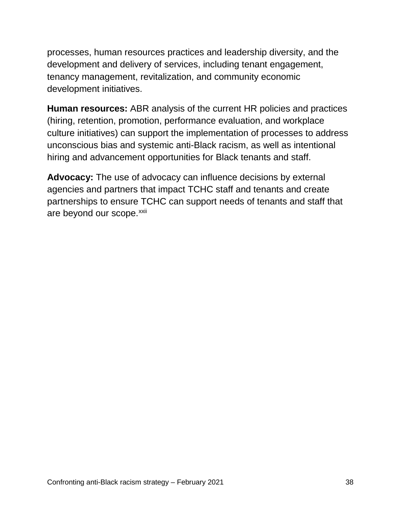processes, human resources practices and leadership diversity, and the development and delivery of services, including tenant engagement, tenancy management, revitalization, and community economic development initiatives.

**Human resources:** ABR analysis of the current HR policies and practices (hiring, retention, promotion, performance evaluation, and workplace culture initiatives) can support the implementation of processes to address unconscious bias and systemic anti-Black racism, as well as intentional hiring and advancement opportunities for Black tenants and staff.

**Advocacy:** The use of advocacy can influence decisions by external agencies and partners that impact TCHC staff and tenants and create partnerships to ensure TCHC can support needs of tenants and staff that are beyond our scope.<sup>[xxii](#page-58-9)</sup>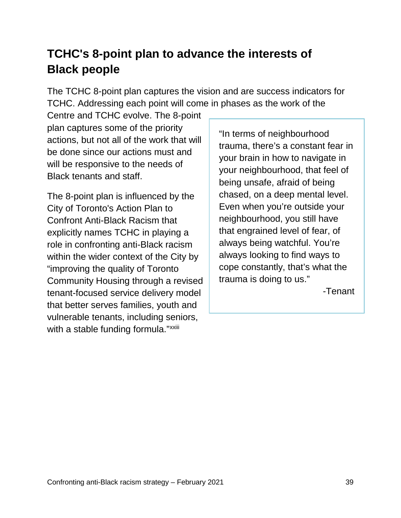## <span id="page-39-0"></span>**TCHC's 8-point plan to advance the interests of Black people**

The TCHC 8-point plan captures the vision and are success indicators for TCHC. Addressing each point will come in phases as the work of the

Centre and TCHC evolve. The 8-point plan captures some of the priority actions, but not all of the work that will be done since our actions must and will be responsive to the needs of Black tenants and staff.

The 8-point plan is influenced by the City of Toronto's Action Plan to Confront Anti-Black Racism that explicitly names TCHC in playing a role in confronting anti-Black racism within the wider context of the City by "improving the quality of Toronto Community Housing through a revised tenant-focused service delivery model that better serves families, youth and vulnerable tenants, including seniors, w[i](#page-58-10)th a stable funding formula."xxiii

"In terms of neighbourhood trauma, there's a constant fear in your brain in how to navigate in your neighbourhood, that feel of being unsafe, afraid of being chased, on a deep mental level. Even when you're outside your neighbourhood, you still have that engrained level of fear, of always being watchful. You're always looking to find ways to cope constantly, that's what the trauma is doing to us."

-Tenant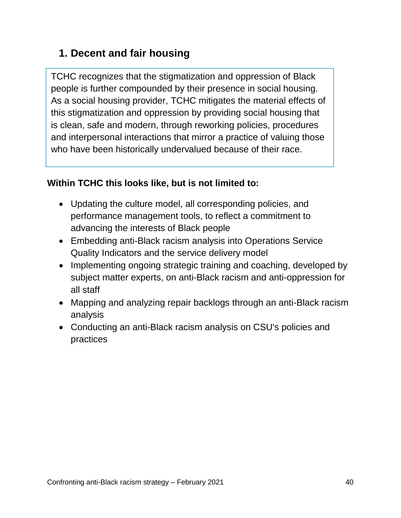#### **1. Decent and fair housing**

TCHC recognizes that the stigmatization and oppression of Black people is further compounded by their presence in social housing. As a social housing provider, TCHC mitigates the material effects of this stigmatization and oppression by providing social housing that is clean, safe and modern, through reworking policies, procedures and interpersonal interactions that mirror a practice of valuing those who have been historically undervalued because of their race.

- Updating the culture model, all corresponding policies, and performance management tools, to reflect a commitment to advancing the interests of Black people
- Embedding anti-Black racism analysis into Operations Service Quality Indicators and the service delivery model
- Implementing ongoing strategic training and coaching, developed by subject matter experts, on anti-Black racism and anti-oppression for all staff
- Mapping and analyzing repair backlogs through an anti-Black racism analysis
- Conducting an anti-Black racism analysis on CSU's policies and practices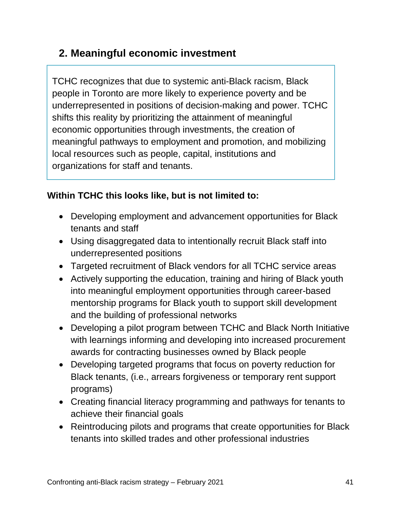#### **2. Meaningful economic investment**

TCHC recognizes that due to systemic anti-Black racism, Black people in Toronto are more likely to experience poverty and be underrepresented in positions of decision-making and power. TCHC shifts this reality by prioritizing the attainment of meaningful economic opportunities through investments, the creation of meaningful pathways to employment and promotion, and mobilizing local resources such as people, capital, institutions and organizations for staff and tenants.

- Developing employment and advancement opportunities for Black tenants and staff
- Using disaggregated data to intentionally recruit Black staff into underrepresented positions
- Targeted recruitment of Black vendors for all TCHC service areas
- Actively supporting the education, training and hiring of Black youth into meaningful employment opportunities through career-based mentorship programs for Black youth to support skill development and the building of professional networks
- Developing a pilot program between TCHC and Black North Initiative with learnings informing and developing into increased procurement awards for contracting businesses owned by Black people
- Developing targeted programs that focus on poverty reduction for Black tenants, (i.e., arrears forgiveness or temporary rent support programs)
- Creating financial literacy programming and pathways for tenants to achieve their financial goals
- Reintroducing pilots and programs that create opportunities for Black tenants into skilled trades and other professional industries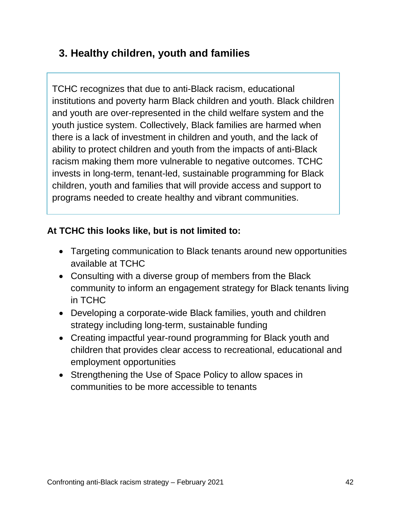#### **3. Healthy children, youth and families**

TCHC recognizes that due to anti-Black racism, educational institutions and poverty harm Black children and youth. Black children and youth are over-represented in the child welfare system and the youth justice system. Collectively, Black families are harmed when there is a lack of investment in children and youth, and the lack of ability to protect children and youth from the impacts of anti-Black racism making them more vulnerable to negative outcomes. TCHC invests in long-term, tenant-led, sustainable programming for Black children, youth and families that will provide access and support to programs needed to create healthy and vibrant communities.

- Targeting communication to Black tenants around new opportunities available at TCHC
- Consulting with a diverse group of members from the Black community to inform an engagement strategy for Black tenants living in TCHC
- Developing a corporate-wide Black families, youth and children strategy including long-term, sustainable funding
- Creating impactful year-round programming for Black youth and children that provides clear access to recreational, educational and employment opportunities
- Strengthening the Use of Space Policy to allow spaces in communities to be more accessible to tenants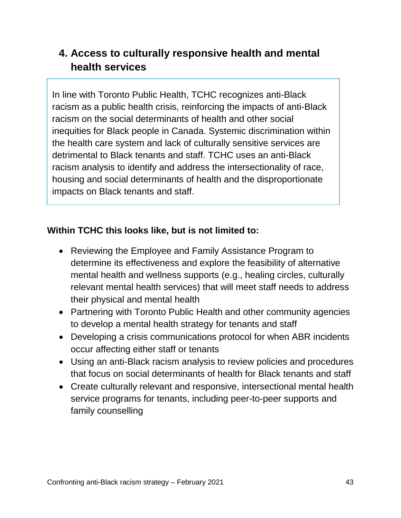#### **4. Access to culturally responsive health and mental health services**

In line with Toronto Public Health, TCHC recognizes anti-Black racism as a public health crisis, reinforcing the impacts of anti-Black racism on the social determinants of health and other social inequities for Black people in Canada. Systemic discrimination within the health care system and lack of culturally sensitive services are detrimental to Black tenants and staff. TCHC uses an anti-Black racism analysis to identify and address the intersectionality of race, housing and social determinants of health and the disproportionate impacts on Black tenants and staff.

- Reviewing the Employee and Family Assistance Program to determine its effectiveness and explore the feasibility of alternative mental health and wellness supports (e.g., healing circles, culturally relevant mental health services) that will meet staff needs to address their physical and mental health
- Partnering with Toronto Public Health and other community agencies to develop a mental health strategy for tenants and staff
- Developing a crisis communications protocol for when ABR incidents occur affecting either staff or tenants
- Using an anti-Black racism analysis to review policies and procedures that focus on social determinants of health for Black tenants and staff
- Create culturally relevant and responsive, intersectional mental health service programs for tenants, including peer-to-peer supports and family counselling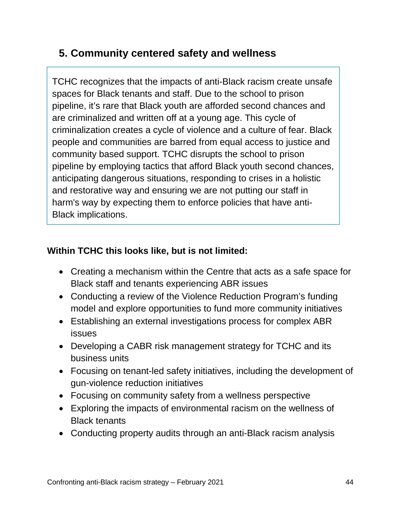#### **5. Community centered safety and wellness**

TCHC recognizes that the impacts of anti-Black racism create unsafe spaces for Black tenants and staff. Due to the school to prison pipeline, it's rare that Black youth are afforded second chances and are criminalized and written off at a young age. This cycle of criminalization creates a cycle of violence and a culture of fear. Black people and communities are barred from equal access to justice and community based support. TCHC disrupts the school to prison pipeline by employing tactics that afford Black youth second chances, anticipating dangerous situations, responding to crises in a holistic and restorative way and ensuring we are not putting our staff in harm's way by expecting them to enforce policies that have anti-Black implications.

- Creating a mechanism within the Centre that acts as a safe space for Black staff and tenants experiencing ABR issues
- Conducting a review of the Violence Reduction Program's funding model and explore opportunities to fund more community initiatives
- Establishing an external investigations process for complex ABR issues
- Developing a CABR risk management strategy for TCHC and its business units
- Focusing on tenant-led safety initiatives, including the development of gun-violence reduction initiatives
- Focusing on community safety from a wellness perspective
- Exploring the impacts of environmental racism on the wellness of Black tenants
- Conducting property audits through an anti-Black racism analysis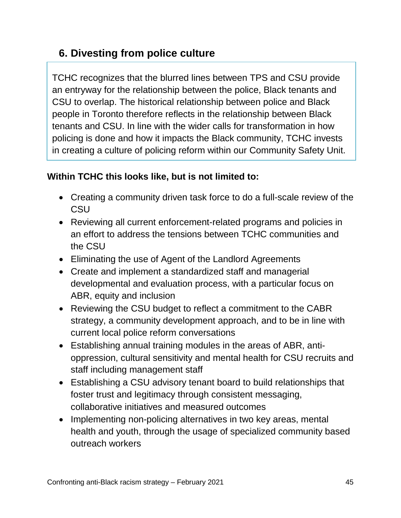#### **6. Divesting from police culture**

TCHC recognizes that the blurred lines between TPS and CSU provide an entryway for the relationship between the police, Black tenants and CSU to overlap. The historical relationship between police and Black people in Toronto therefore reflects in the relationship between Black tenants and CSU. In line with the wider calls for transformation in how policing is done and how it impacts the Black community, TCHC invests in creating a culture of policing reform within our Community Safety Unit.

- Creating a community driven task force to do a full-scale review of the **CSU**
- Reviewing all current enforcement-related programs and policies in an effort to address the tensions between TCHC communities and the CSU
- Eliminating the use of Agent of the Landlord Agreements
- Create and implement a standardized staff and managerial developmental and evaluation process, with a particular focus on ABR, equity and inclusion
- Reviewing the CSU budget to reflect a commitment to the CABR strategy, a community development approach, and to be in line with current local police reform conversations
- Establishing annual training modules in the areas of ABR, antioppression, cultural sensitivity and mental health for CSU recruits and staff including management staff
- Establishing a CSU advisory tenant board to build relationships that foster trust and legitimacy through consistent messaging, collaborative initiatives and measured outcomes
- Implementing non-policing alternatives in two key areas, mental health and youth, through the usage of specialized community based outreach workers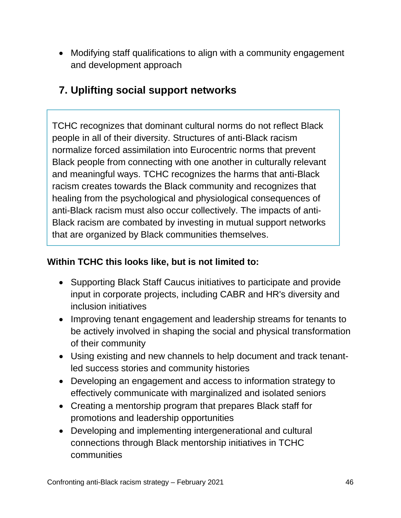• Modifying staff qualifications to align with a community engagement and development approach

#### **7. Uplifting social support networks**

TCHC recognizes that dominant cultural norms do not reflect Black people in all of their diversity. Structures of anti-Black racism normalize forced assimilation into Eurocentric norms that prevent Black people from connecting with one another in culturally relevant and meaningful ways. TCHC recognizes the harms that anti-Black racism creates towards the Black community and recognizes that healing from the psychological and physiological consequences of anti-Black racism must also occur collectively. The impacts of anti-Black racism are combated by investing in mutual support networks that are organized by Black communities themselves.

- Supporting Black Staff Caucus initiatives to participate and provide input in corporate projects, including CABR and HR's diversity and inclusion initiatives
- Improving tenant engagement and leadership streams for tenants to be actively involved in shaping the social and physical transformation of their community
- Using existing and new channels to help document and track tenantled success stories and community histories
- Developing an engagement and access to information strategy to effectively communicate with marginalized and isolated seniors
- Creating a mentorship program that prepares Black staff for promotions and leadership opportunities
- Developing and implementing intergenerational and cultural connections through Black mentorship initiatives in TCHC communities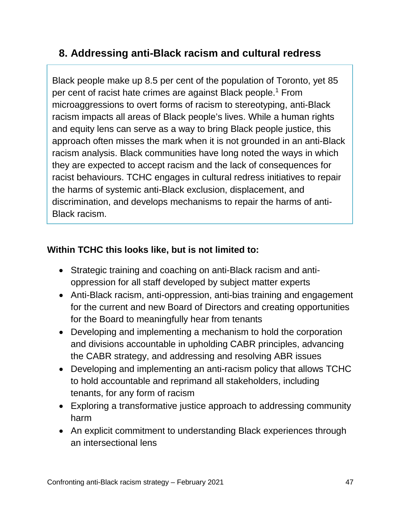#### **8. Addressing anti-Black racism and cultural redress**

Black people make up 8.5 per cent of the population of Toronto, yet 85 per cent of racist hate crimes are against Black people.<sup>1</sup> From microaggressions to overt forms of racism to stereotyping, anti-Black racism impacts all areas of Black people's lives. While a human rights and equity lens can serve as a way to bring Black people justice, this approach often misses the mark when it is not grounded in an anti-Black racism analysis. Black communities have long noted the ways in which they are expected to accept racism and the lack of consequences for racist behaviours. TCHC engages in cultural redress initiatives to repair the harms of systemic anti-Black exclusion, displacement, and discrimination, and develops mechanisms to repair the harms of anti-Black racism.

- Strategic training and coaching on anti-Black racism and antioppression for all staff developed by subject matter experts
- Anti-Black racism, anti-oppression, anti-bias training and engagement for the current and new Board of Directors and creating opportunities for the Board to meaningfully hear from tenants
- Developing and implementing a mechanism to hold the corporation and divisions accountable in upholding CABR principles, advancing the CABR strategy, and addressing and resolving ABR issues
- Developing and implementing an anti-racism policy that allows TCHC to hold accountable and reprimand all stakeholders, including tenants, for any form of racism
- Exploring a transformative justice approach to addressing community harm
- An explicit commitment to understanding Black experiences through an intersectional lens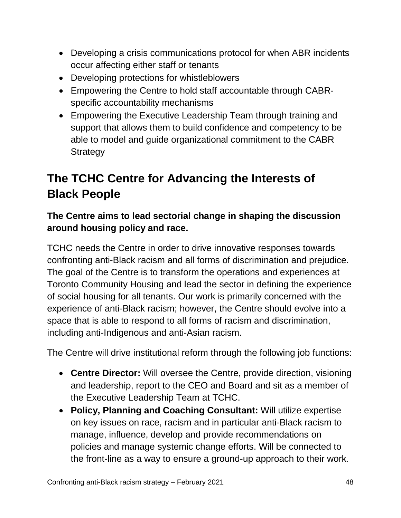- Developing a crisis communications protocol for when ABR incidents occur affecting either staff or tenants
- Developing protections for whistleblowers
- Empowering the Centre to hold staff accountable through CABRspecific accountability mechanisms
- Empowering the Executive Leadership Team through training and support that allows them to build confidence and competency to be able to model and guide organizational commitment to the CABR **Strategy**

## <span id="page-48-0"></span>**The TCHC Centre for Advancing the Interests of Black People**

#### **The Centre aims to lead sectorial change in shaping the discussion around housing policy and race.**

TCHC needs the Centre in order to drive innovative responses towards confronting anti-Black racism and all forms of discrimination and prejudice. The goal of the Centre is to transform the operations and experiences at Toronto Community Housing and lead the sector in defining the experience of social housing for all tenants. Our work is primarily concerned with the experience of anti-Black racism; however, the Centre should evolve into a space that is able to respond to all forms of racism and discrimination, including anti-Indigenous and anti-Asian racism.

The Centre will drive institutional reform through the following job functions:

- **Centre Director:** Will oversee the Centre, provide direction, visioning and leadership, report to the CEO and Board and sit as a member of the Executive Leadership Team at TCHC.
- **Policy, Planning and Coaching Consultant:** Will utilize expertise on key issues on race, racism and in particular anti-Black racism to manage, influence, develop and provide recommendations on policies and manage systemic change efforts. Will be connected to the front-line as a way to ensure a ground-up approach to their work.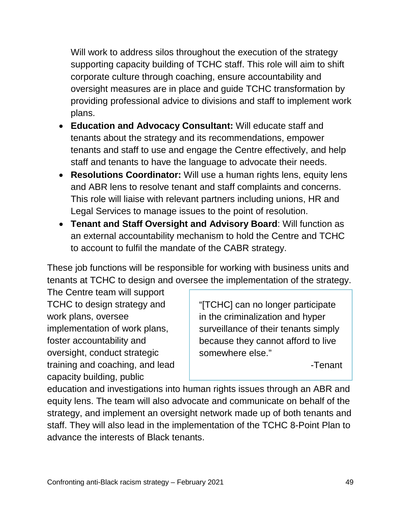Will work to address silos throughout the execution of the strategy supporting capacity building of TCHC staff. This role will aim to shift corporate culture through coaching, ensure accountability and oversight measures are in place and guide TCHC transformation by providing professional advice to divisions and staff to implement work plans.

- **Education and Advocacy Consultant:** Will educate staff and tenants about the strategy and its recommendations, empower tenants and staff to use and engage the Centre effectively, and help staff and tenants to have the language to advocate their needs.
- **Resolutions Coordinator:** Will use a human rights lens, equity lens and ABR lens to resolve tenant and staff complaints and concerns. This role will liaise with relevant partners including unions, HR and Legal Services to manage issues to the point of resolution.
- **Tenant and Staff Oversight and Advisory Board**: Will function as an external accountability mechanism to hold the Centre and TCHC to account to fulfil the mandate of the CABR strategy.

These job functions will be responsible for working with business units and tenants at TCHC to design and oversee the implementation of the strategy.

The Centre team will support TCHC to design strategy and work plans, oversee implementation of work plans, foster accountability and oversight, conduct strategic training and coaching, and lead capacity building, public

"[TCHC] can no longer participate in the criminalization and hyper surveillance of their tenants simply because they cannot afford to live somewhere else."

-Tenant

education and investigations into human rights issues through an ABR and equity lens. The team will also advocate and communicate on behalf of the strategy, and implement an oversight network made up of both tenants and staff. They will also lead in the implementation of the TCHC 8-Point Plan to advance the interests of Black tenants.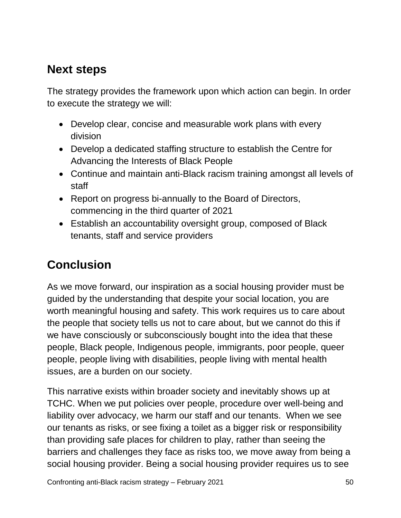## **Next steps**

The strategy provides the framework upon which action can begin. In order to execute the strategy we will:

- Develop clear, concise and measurable work plans with every division
- Develop a dedicated staffing structure to establish the Centre for Advancing the Interests of Black People
- Continue and maintain anti-Black racism training amongst all levels of staff
- Report on progress bi-annually to the Board of Directors, commencing in the third quarter of 2021
- Establish an accountability oversight group, composed of Black tenants, staff and service providers

## **Conclusion**

As we move forward, our inspiration as a social housing provider must be guided by the understanding that despite your social location, you are worth meaningful housing and safety. This work requires us to care about the people that society tells us not to care about, but we cannot do this if we have consciously or subconsciously bought into the idea that these people, Black people, Indigenous people, immigrants, poor people, queer people, people living with disabilities, people living with mental health issues, are a burden on our society.

This narrative exists within broader society and inevitably shows up at TCHC. When we put policies over people, procedure over well-being and liability over advocacy, we harm our staff and our tenants. When we see our tenants as risks, or see fixing a toilet as a bigger risk or responsibility than providing safe places for children to play, rather than seeing the barriers and challenges they face as risks too, we move away from being a social housing provider. Being a social housing provider requires us to see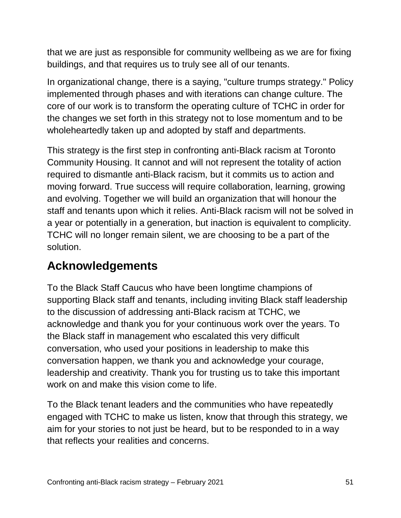that we are just as responsible for community wellbeing as we are for fixing buildings, and that requires us to truly see all of our tenants.

In organizational change, there is a saying, "culture trumps strategy." Policy implemented through phases and with iterations can change culture. The core of our work is to transform the operating culture of TCHC in order for the changes we set forth in this strategy not to lose momentum and to be wholeheartedly taken up and adopted by staff and departments.

This strategy is the first step in confronting anti-Black racism at Toronto Community Housing. It cannot and will not represent the totality of action required to dismantle anti-Black racism, but it commits us to action and moving forward. True success will require collaboration, learning, growing and evolving. Together we will build an organization that will honour the staff and tenants upon which it relies. Anti-Black racism will not be solved in a year or potentially in a generation, but inaction is equivalent to complicity. TCHC will no longer remain silent, we are choosing to be a part of the solution.

## **Acknowledgements**

To the Black Staff Caucus who have been longtime champions of supporting Black staff and tenants, including inviting Black staff leadership to the discussion of addressing anti-Black racism at TCHC, we acknowledge and thank you for your continuous work over the years. To the Black staff in management who escalated this very difficult conversation, who used your positions in leadership to make this conversation happen, we thank you and acknowledge your courage, leadership and creativity. Thank you for trusting us to take this important work on and make this vision come to life.

To the Black tenant leaders and the communities who have repeatedly engaged with TCHC to make us listen, know that through this strategy, we aim for your stories to not just be heard, but to be responded to in a way that reflects your realities and concerns.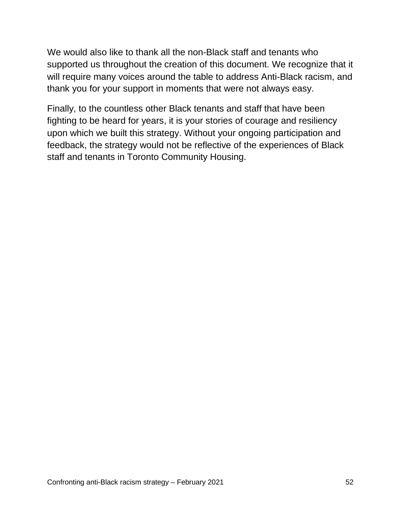We would also like to thank all the non-Black staff and tenants who supported us throughout the creation of this document. We recognize that it will require many voices around the table to address Anti-Black racism, and thank you for your support in moments that were not always easy.

Finally, to the countless other Black tenants and staff that have been fighting to be heard for years, it is your stories of courage and resiliency upon which we built this strategy. Without your ongoing participation and feedback, the strategy would not be reflective of the experiences of Black staff and tenants in Toronto Community Housing.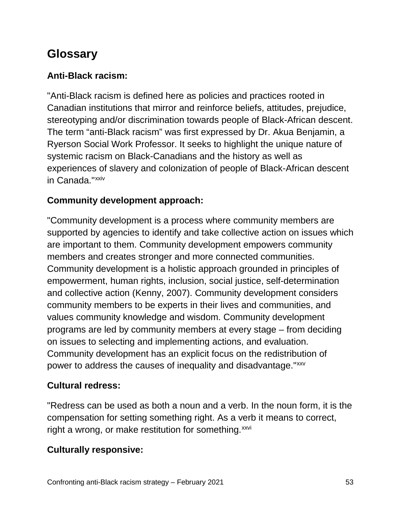## **Glossary**

#### **Anti-Black racism:**

"Anti-Black racism is defined here as policies and practices rooted in Canadian institutions that mirror and reinforce beliefs, attitudes, prejudice, stereotyping and/or discrimination towards people of Black-African descent. The term "anti-Black racism" was first expressed by Dr. Akua Benjamin, a Ryerson Social Work Professor. It seeks to highlight the unique nature of systemic racism on Black-Canadians and the history as well as experiences of slavery and colonization of people of Black-African descent in Canada."<sup>[xxiv](#page-58-11)</sup>

#### **Community development approach:**

"Community development is a process where community members are supported by agencies to identify and take collective action on issues which are important to them. Community development empowers community members and creates stronger and more connected communities. Community development is a holistic approach grounded in principles of empowerment, human rights, inclusion, social justice, self-determination and collective action (Kenny, 2007). Community development considers community members to be experts in their lives and communities, and values community knowledge and wisdom. Community development programs are led by community members at every stage – from deciding on issues to selecting and implementing actions, and evaluation. Community development has an explicit focus on the redistribution of power to address the causes of inequality and disadvantage."[xxv](#page-58-2)

#### **Cultural redress:**

"Redress can be used as both a noun and a verb. In the noun form, it is the compensation for setting something right. As a verb it means to correct, right a wrong, or make restitution for something. [xxvi](#page-58-12)

#### **Culturally responsive:**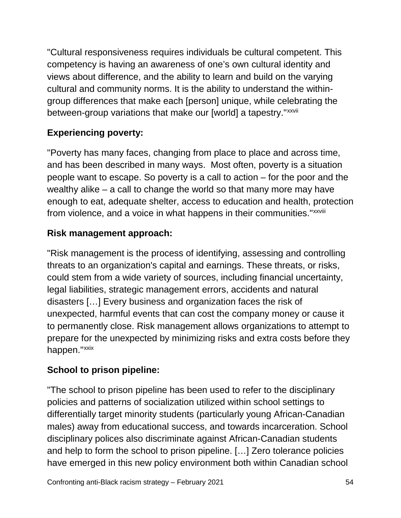"Cultural responsiveness requires individuals be cultural competent. This competency is having an awareness of one's own cultural identity and views about difference, and the ability to learn and build on the varying cultural and community norms. It is the ability to understand the withingroup differences that make each [person] unique, while celebrating the between-group variations that make our [world] a tapestry."xxvii

#### **Experiencing poverty:**

"Poverty has many faces, changing from place to place and across time, and has been described in many ways. Most often, poverty is a situation people want to escape. So poverty is a call to action – for the poor and the wealthy alike – a call to change the world so that many more may have enough to eat, adequate shelter, access to education and health, protection from violence, and a voice in what happens in their communities."xxviii

#### **Risk management approach:**

"Risk management is the process of identifying, assessing and controlling threats to an organization's capital and earnings. These threats, or risks, could stem from a wide variety of sources, including financial uncertainty, legal liabilities, strategic management errors, accidents and natural disasters […] Every business and organization faces the risk of unexpected, harmful events that can cost the company money or cause it to permanently close. Risk management allows organizations to attempt to prepare for the unexpected by minimizing risks and extra costs before they happen."[xxix](#page-58-13)

#### **School to prison pipeline:**

"The school to prison pipeline has been used to refer to the disciplinary policies and patterns of socialization utilized within school settings to differentially target minority students (particularly young African-Canadian males) away from educational success, and towards incarceration. School disciplinary polices also discriminate against African-Canadian students and help to form the school to prison pipeline. […] Zero tolerance policies have emerged in this new policy environment both within Canadian school

Confronting anti-Black racism strategy – February 2021 54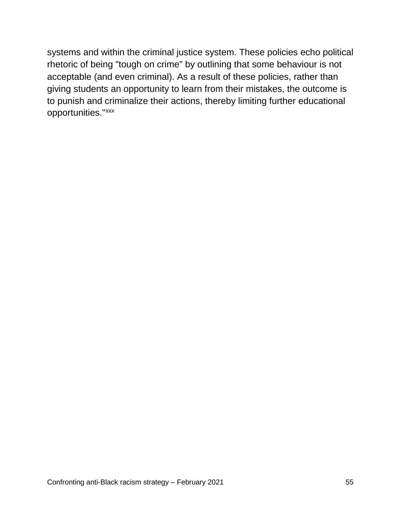systems and within the criminal justice system. These policies echo political rhetoric of being "tough on crime" by outlining that some behaviour is not acceptable (and even criminal). As a result of these policies, rather than giving students an opportunity to learn from their mistakes, the outcome is to punish and criminalize their actions, thereby limiting further educational opportunities."[xxx](#page-58-14)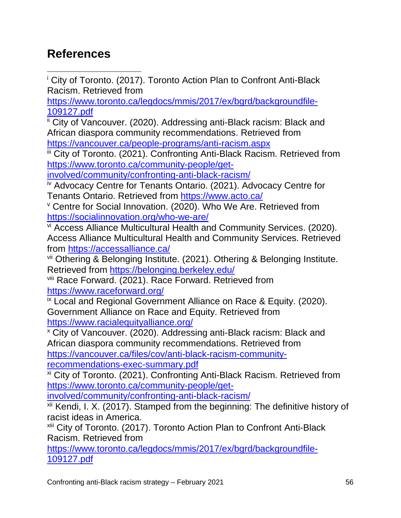## <span id="page-56-0"></span>**References**

<span id="page-56-1"></span><sup>i</sup> City of Toronto. (2017). Toronto Action Plan to Confront Anti-Black Racism. Retrieved from  $\overline{a}$ 

[https://www.toronto.ca/legdocs/mmis/2017/ex/bgrd/backgroundfile-](https://www.toronto.ca/legdocs/mmis/2017/ex/bgrd/backgroundfile-109127.pdf)[109127.pdf](https://www.toronto.ca/legdocs/mmis/2017/ex/bgrd/backgroundfile-109127.pdf)

<span id="page-56-2"></span>ii City of Vancouver. (2020). Addressing anti-Black racism: Black and African diaspora community recommendations. Retrieved from <https://vancouver.ca/people-programs/anti-racism.aspx>

<span id="page-56-3"></span>iii City of Toronto. (2021). Confronting Anti-Black Racism. Retrieved from [https://www.toronto.ca/community-people/get-](https://www.toronto.ca/community-people/get-involved/community/confronting-anti-black-racism/)

[involved/community/confronting-anti-black-racism/](https://www.toronto.ca/community-people/get-involved/community/confronting-anti-black-racism/)

<span id="page-56-4"></span>iv Advocacy Centre for Tenants Ontario. (2021). Advocacy Centre for Tenants Ontario. Retrieved from <https://www.acto.ca/>

<span id="page-56-5"></span><sup>v</sup> Centre for Social Innovation. (2020). Who We Are. Retrieved from <https://socialinnovation.org/who-we-are/>

<span id="page-56-6"></span>vi Access Alliance Multicultural Health and Community Services. (2020). Access Alliance Multicultural Health and Community Services. Retrieved from <https://accessalliance.ca/>

<span id="page-56-7"></span>vii Othering & Belonging Institute. (2021). Othering & Belonging Institute. Retrieved from <https://belonging.berkeley.edu/>

<span id="page-56-8"></span>viii Race Forward. (2021). Race Forward. Retrieved from <https://www.raceforward.org/>

<span id="page-56-9"></span>ix Local and Regional Government Alliance on Race & Equity. (2020). Government Alliance on Race and Equity. Retrieved from <https://www.racialequityalliance.org/>

<sup>x</sup> City of Vancouver. (2020). Addressing anti-Black racism: Black and African diaspora community recommendations. Retrieved from [https://vancouver.ca/files/cov/anti-black-racism-community](https://vancouver.ca/files/cov/anti-black-racism-community-recommendations-exec-summary.pdf)[recommendations-exec-summary.pdf](https://vancouver.ca/files/cov/anti-black-racism-community-recommendations-exec-summary.pdf)

xi City of Toronto. (2021). Confronting Anti-Black Racism. Retrieved from [https://www.toronto.ca/community-people/get-](https://www.toronto.ca/community-people/get-involved/community/confronting-anti-black-racism/)

[involved/community/confronting-anti-black-racism/](https://www.toronto.ca/community-people/get-involved/community/confronting-anti-black-racism/)

 $xii$  Kendi, I. X. (2017). Stamped from the beginning: The definitive history of racist ideas in America.

xiii City of Toronto. (2017). Toronto Action Plan to Confront Anti-Black Racism. Retrieved from

[https://www.toronto.ca/legdocs/mmis/2017/ex/bgrd/backgroundfile-](https://www.toronto.ca/legdocs/mmis/2017/ex/bgrd/backgroundfile-109127.pdf)[109127.pdf](https://www.toronto.ca/legdocs/mmis/2017/ex/bgrd/backgroundfile-109127.pdf)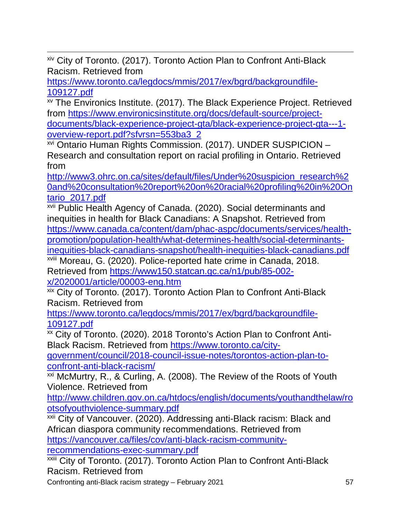**xiv City of Toronto.** (2017). Toronto Action Plan to Confront Anti-Black Racism. Retrieved from

[https://www.toronto.ca/legdocs/mmis/2017/ex/bgrd/backgroundfile-](https://www.toronto.ca/legdocs/mmis/2017/ex/bgrd/backgroundfile-109127.pdf)[109127.pdf](https://www.toronto.ca/legdocs/mmis/2017/ex/bgrd/backgroundfile-109127.pdf)

xv The Environics Institute. (2017). The Black Experience Project. Retrieved from [https://www.environicsinstitute.org/docs/default-source/project](https://www.environicsinstitute.org/docs/default-source/project-documents/black-experience-project-gta/black-experience-project-gta---1-overview-report.pdf?sfvrsn=553ba3_2)[documents/black-experience-project-gta/black-experience-project-gta---1](https://www.environicsinstitute.org/docs/default-source/project-documents/black-experience-project-gta/black-experience-project-gta---1-overview-report.pdf?sfvrsn=553ba3_2) [overview-report.pdf?sfvrsn=553ba3\\_2](https://www.environicsinstitute.org/docs/default-source/project-documents/black-experience-project-gta/black-experience-project-gta---1-overview-report.pdf?sfvrsn=553ba3_2)

xvi Ontario Human Rights Commission. (2017). UNDER SUSPICION – Research and consultation report on racial profiling in Ontario. Retrieved from

[http://www3.ohrc.on.ca/sites/default/files/Under%20suspicion\\_research%2](http://www3.ohrc.on.ca/sites/default/files/Under%20suspicion_research%20and%20consultation%20report%20on%20racial%20profiling%20in%20Ontario_2017.pdf) [0and%20consultation%20report%20on%20racial%20profiling%20in%20On](http://www3.ohrc.on.ca/sites/default/files/Under%20suspicion_research%20and%20consultation%20report%20on%20racial%20profiling%20in%20Ontario_2017.pdf) [tario\\_2017.pdf](http://www3.ohrc.on.ca/sites/default/files/Under%20suspicion_research%20and%20consultation%20report%20on%20racial%20profiling%20in%20Ontario_2017.pdf)

xvii Public Health Agency of Canada. (2020). Social determinants and inequities in health for Black Canadians: A Snapshot. Retrieved from [https://www.canada.ca/content/dam/phac-aspc/documents/services/health](https://www.canada.ca/content/dam/phac-aspc/documents/services/health-promotion/population-health/what-determines-health/social-determinants-inequities-black-canadians-snapshot/health-inequities-black-canadians.pdf)[promotion/population-health/what-determines-health/social-determinants](https://www.canada.ca/content/dam/phac-aspc/documents/services/health-promotion/population-health/what-determines-health/social-determinants-inequities-black-canadians-snapshot/health-inequities-black-canadians.pdf)[inequities-black-canadians-snapshot/health-inequities-black-canadians.pdf](https://www.canada.ca/content/dam/phac-aspc/documents/services/health-promotion/population-health/what-determines-health/social-determinants-inequities-black-canadians-snapshot/health-inequities-black-canadians.pdf)

xviii Moreau, G. (2020). Police-reported hate crime in Canada, 2018. Retrieved from [https://www150.statcan.gc.ca/n1/pub/85-002](https://www150.statcan.gc.ca/n1/pub/85-002-x/2020001/article/00003-eng.htm) [x/2020001/article/00003-eng.htm](https://www150.statcan.gc.ca/n1/pub/85-002-x/2020001/article/00003-eng.htm)

xix City of Toronto. (2017). Toronto Action Plan to Confront Anti-Black Racism. Retrieved from

[https://www.toronto.ca/legdocs/mmis/2017/ex/bgrd/backgroundfile-](https://www.toronto.ca/legdocs/mmis/2017/ex/bgrd/backgroundfile-109127.pdf)[109127.pdf](https://www.toronto.ca/legdocs/mmis/2017/ex/bgrd/backgroundfile-109127.pdf)

<span id="page-57-0"></span>xx City of Toronto. (2020). 2018 Toronto's Action Plan to Confront Anti-Black Racism. Retrieved from [https://www.toronto.ca/city-](https://www.toronto.ca/city-government/council/2018-council-issue-notes/torontos-action-plan-to-confront-anti-black-racism/)

[government/council/2018-council-issue-notes/torontos-action-plan-to](https://www.toronto.ca/city-government/council/2018-council-issue-notes/torontos-action-plan-to-confront-anti-black-racism/)[confront-anti-black-racism/](https://www.toronto.ca/city-government/council/2018-council-issue-notes/torontos-action-plan-to-confront-anti-black-racism/)

<span id="page-57-1"></span><sup>xxi</sup> McMurtry, R., & Curling, A. (2008). The Review of the Roots of Youth Violence. Retrieved from

<span id="page-57-2"></span>[http://www.children.gov.on.ca/htdocs/english/documents/youthandthelaw/ro](http://www.children.gov.on.ca/htdocs/english/documents/youthandthelaw/rootsofyouthviolence-summary.pdf) [otsofyouthviolence-summary.pdf](http://www.children.gov.on.ca/htdocs/english/documents/youthandthelaw/rootsofyouthviolence-summary.pdf)

xxii City of Vancouver. (2020). Addressing anti-Black racism: Black and African diaspora community recommendations. Retrieved from [https://vancouver.ca/files/cov/anti-black-racism-community](https://vancouver.ca/files/cov/anti-black-racism-community-recommendations-exec-summary.pdf)[recommendations-exec-summary.pdf](https://vancouver.ca/files/cov/anti-black-racism-community-recommendations-exec-summary.pdf)

xxiii City of Toronto. (2017). Toronto Action Plan to Confront Anti-Black Racism. Retrieved from

Confronting anti-Black racism strategy – February 2021 57